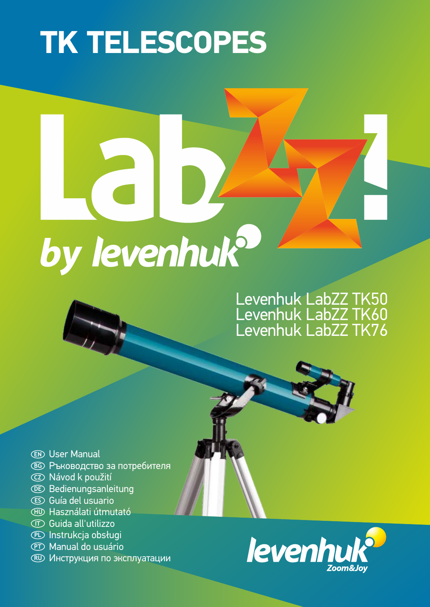# **TK TELESCOPES**

# by levenhuk<sup>9</sup>

# Levenhuk LabZZ TK50 Levenhuk LabZZ TK60 Levenhuk LabZZ TK76

- User Manual **EN**
- Ръководство за потребителя **BG**
- Návod k použití **CZ**
- Bedienungsanleitung **DE**
- Guía del usuario **ES**
- Használati útmutató **HU**
- $\mathbb D$  Guida all'utilizzo
- Instrukcja obsługi **PL**
- Manual do usuário **PT**
- Инструкция по эксплуатации **RU**

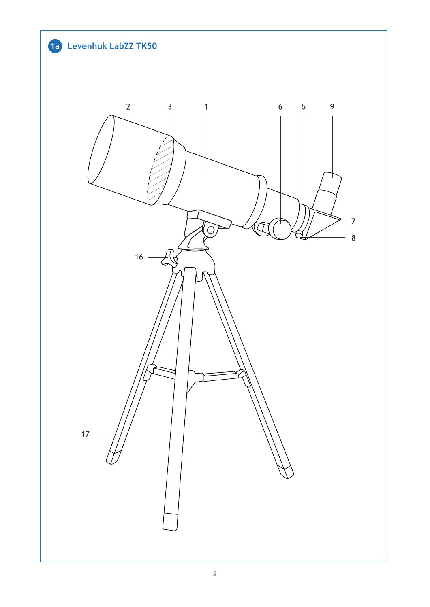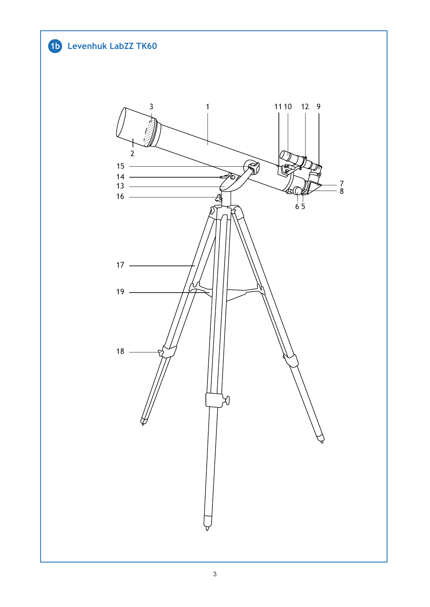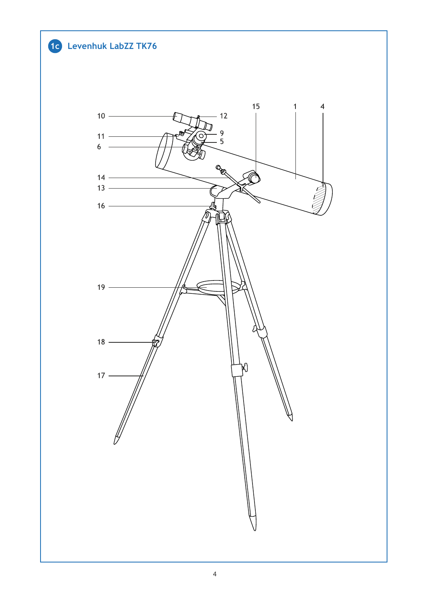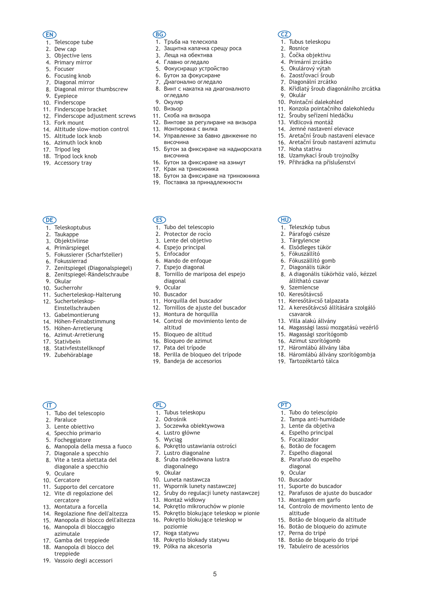### **EN**

- 1. Telescope tube
- 2. Dew cap
- 3. Objective lens
- 4. Primary mirror
- 5. Focuser
- 6. Focusing knob
- 7. Diagonal mirror
- 8. Diagonal mirror thumbscrew
- 9. Eyepiece
- 10. Finderscope
- 11. Finderscope bracket
- 12. Finderscope adjustment screws
- 13. Fork mount
- 14. Altitude slow-motion control
- 15. Altitude lock knob
- 16. Azimuth lock knob
- 17. Tripod leg
- 18. Tripod lock knob
- 19. Accessory tray

### **BG**

- 1. Тръба на телескопа
- 2. Защитна капачка срещу роса

1. Tubus teleskopu 2. Rosnice 3. Čočka objektivu 4. Primární zrcátko 5. Okulárový výtah 6. Zaostřovací šroub 7. Diagonální zrcátko

10. Pointační dalekohled

9. Okulár

**CZ**

17. Noha stativu

1. Teleszkóp tubus 2. Párafogó csésze 3. Tárgylencse 4. Elsődleges tükör 5. Fókuszállító 6. Fókuszállító gomb 7. Diagonális tükör

**HU**

9. Szemlencse 10. Keresőtávcső

csavarok

11. Keresőtávcső talpazata

állítható csavar

15. Magassági szorítógomb 16. Azimut szorítógomb 17. Háromlábú állvány lába

13. Villa alakú állvány

19. Tartozéktartó tálca

1. Tubo do telescópio 2. Tampa anti-humidade 3. Lente da objetiva 4. Espelho principal 5. Focalizador 6. Botão de focagem 7. Espelho diagonal 8. Parafuso do espelho

11. Suporte do buscador

13. Montagem em garfo

17. Perna do tripé

altitude

12. Parafusos de ajuste do buscador

14. Controlo de movimento lento de 15. Botão de bloqueio da altitude 16. Botão de bloqueio do azimute

18. Botão de bloqueio do tripé 19. Tabuleiro de acessórios

9. Ocular 10. Buscador

**PT**

diagonal

8. A diagonális tükörhöz való, kézzel

12. A keresőtávcső állítására szolgáló

14. Magassági lassú mozgatású vezérlő

18. Háromlábú állvány szorítógombja

8. Křídlatý šroub diagonálního zrcátka

11. Konzola pointačního dalekohledu 12. Šrouby seřízení hledáčku 13. Vidlicová montáž 14. Jemné nastavení elevace 15. Aretační šroub nastavení elevace 16. Aretační šroub nastavení azimutu

18. Uzamykací šroub trojnožky 19. Přihrádka na příslušenství

- 3. Леща на обектива
- 4. Главно огледало
- 5. Фокусиращо устройство
- 6. Бутон за фокусиране
- 7. Диагонално огледало
- 
- 8. Винт с накатка на диагоналното огледало
- 9. Окуляр
- 10. Визьор
- 11. Скоба на визьора
- 12. Винтове за регулиране на визьора
- 13. Монтировка с вилка
- 14. Управление за бавно движение по 15. Бутон за фиксиране на надморската височина
- височина
- 16. Бутон за фиксиране на азимут
- 17. Крак на триножника
- 18. Бутон за фиксиране на триножника
- 19. Поставка за принадлежности

- **DE**
- 1. Teleskoptubus
- 2. Taukappe
- 
- 3. Objektivlinse
- 4. Primärspiegel
- 5. Fokussierer (Scharfsteller)
- 6. Fokussierrad
- 7. Zenitspiegel (Diagonalspiegel)
- 8. Zenitspiegel-Rändelschraube
- 9. Okular
- 10. Sucherrohr
- 11. Sucherteleskop-Halterung
- 12. Sucherteleskop-Einstellschrauben
- 
- 13. Gabelmontierung
- 14. Höhen-Feinabstimmung
- 15. Höhen-Arretierung
- 16. Azimut-Arretierung
- 17. Stativbein
- 18. Stativfeststellknopf
- 19. Zubehörablage

### **IT**

- 1. Tubo del telescopio
- 2. Paraluce
- 3. Lente obiettivo
- 4. Specchio primario
- 5. Focheggiatore
- 6. Manopola della messa a fuoco
- 7. Diagonale a specchio
- 8. Vite a testa alettata del
- diagonale a specchio
- 9. Oculare
- 10. Cercatore
- 11. Supporto del cercatore 12. Vite di regolazione del
- cercatore
- 13. Montatura a forcella
- 14. Regolazione fine dell'altezza
- 15. Manopola di blocco dell'altezza
- 16. Manopola di bloccaggio
- azimutale
- 17. Gamba del treppiede
- 18. Manopola di blocco del treppiede
- 19. Vassoio degli accessori

### 3. Lente del objetivo 4. Espejo principal

**ES**

- 5. Enfocador
- 6. Mando de enfoque

1. Tubo del telescopio 2. Protector de rocío

- 7. Espejo diagonal 8. Tornillo de mariposa del espejo diagonal
- 9. Ocular
- 10. Buscador
- 11. Horquilla del buscador
- 12. Tornillos de ajuste del buscador
- 13. Montura de horquilla
- 14. Control de movimiento lento de altitud
- 15. Bloqueo de altitud
- 16. Bloqueo de azimut
- 17. Pata del trípode
- 18. Perilla de bloqueo del trípode
- 19. Bandeja de accesorios

1. Tubus teleskopu 2. Odrośnik

10. Luneta nastawcza

13. Montaż widłowy

17. Noga statywu

poziomie

7.

**PL**

9. Okular

3. Soczewka obiektywowa 4. Lustro główne 5. Wyciąg

6. Pokrętło ustawiania ostrości

8. Śruba radełkowana lustra

Lustro diagonalne diagonalnego

11. Wspornik lunety nastawczej 12. Śruby do regulacji lunety nastawczej

18. Pokrętło blokady statywu 19. Półka na akcesoria

14. Pokrętło mikroruchów w pionie 15. Pokrętło blokujące teleskop w pionie 16. Pokrętło blokujące teleskop w

5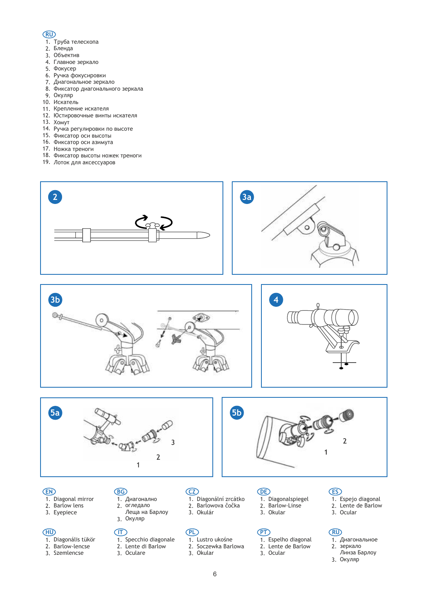### **RU**

- 1. Труба телескопа
- 2. Бленда
- 3. Объектив
- 4. Главное зеркало
- 5. Фокусер
- 6. Ручка фокусировки
- 7. Диагональное зеркало
- 8. Фиксатор диагонального зеркала
- 9. Окуляр
- 10. Искатель
- 11. Крепление искателя
- 12. Юстировочные винты искателя
- 13. Хомут
- 14. Ручка регулировки по высоте
- 15. Фиксатор оси высоты
- 16. Фиксатор оси азимута
- 17. Ножка треноги
- 18. Фиксатор высоты ножек треноги
- 19. Лоток для аксессуаров











# 2. **EN**

- 1. Diagonal mirror
	- Barlow lens
- 3. Eyepiece

### **HU**

- 1. Diagonális tükör
- 2. Barlow-lencse
- 3. Szemlencse

### **BG**

- 1. Диагонално
- 2. огледало Леща на Барлоу
- 3. Окуляр

### **IT**

- 1. Specchio diagonale
- 2. 3. Lente di Barlow

Oculare

- 1. Diagonální zrcátko
- 2. Barlowova čočka
- 3. Okulár

### **PL**

**CZ**

- 1. Lustro ukośne
- 2. Soczewka Barlowa
- 3. Okular

### **DE**

- 1. Diagonalspiegel
- 2. Barlow-Linse 3. Okular
- 

### **PT**

- 1. Espelho diagonal
- 2. Lente de Barlow 3. Ocular

## **ES**

- 1. Espejo diagonal
- 2. Lente de Barlow 3. Ocular

### **RU**

- 1. Диагональное
- 2. зеркало Линза Барлоу
	- 3. Окуляр
	-

6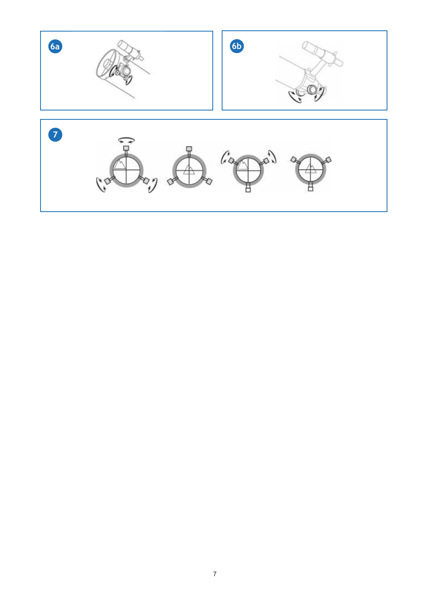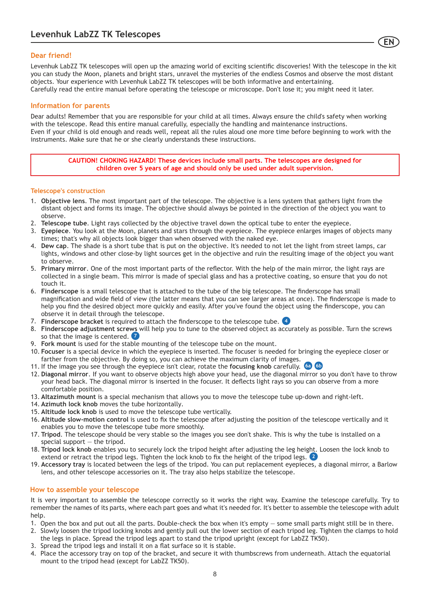### **Dear friend!**

Levenhuk LabZZ TK telescopes will open up the amazing world of exciting scientific discoveries! With the telescope in the kit you can study the Moon, planets and bright stars, unravel the mysteries of the endless Cosmos and observe the most distant objects. Your experience with Levenhuk LabZZ TK telescopes will be both informative and entertaining. Carefully read the entire manual before operating the telescope or microscope. Don't lose it; you might need it later.

**EN**

### **Information for parents**

Dear adults! Remember that you are responsible for your child at all times. Always ensure the child's safety when working with the telescope. Read this entire manual carefully, especially the handling and maintenance instructions. Even if your child is old enough and reads well, repeat all the rules aloud one more time before beginning to work with the instruments. Make sure that he or she clearly understands these instructions.

> **CAUTION! CHOKING HAZARD! These devices include small parts. The telescopes are designed for children over 5 years of age and should only be used under adult supervision.**

### **Telescope's construction**

- 1. **Objective lens**. The most important part of the telescope. The objective is a lens system that gathers light from the distant object and forms its image. The objective should always be pointed in the direction of the object you want to observe.
- 2. **Telescope tube**. Light rays collected by the objective travel down the optical tube to enter the eyepiece.
- 3. **Eyepiece**. You look at the Moon, planets and stars through the eyepiece. The eyepiece enlarges images of objects many times; that's why all objects look bigger than when observed with the naked eye.
- 4. **Dew cap**. The shade is a short tube that is put on the objective. It's needed to not let the light from street lamps, car lights, windows and other close-by light sources get in the objective and ruin the resulting image of the object you want to observe.
- 5. **Primary mirror**. One of the most important parts of the reflector. With the help of the main mirror, the light rays are collected in a single beam. This mirror is made of special glass and has a protective coating, so ensure that you do not touch it.
- 6. **Finderscope** is a small telescope that is attached to the tube of the big telescope. The finderscope has small magnification and wide field of view (the latter means that you can see larger areas at once). The finderscope is made to help you find the desired object more quickly and easily. After you've found the object using the finderscope, you can observe it in detail through the telescope.
- 7. **Finderscope bracket** is required to attach the finderscope to the telescope tube. **4**
- 8. **Finderscope adjustment screws** will help you to tune to the observed object as accurately as possible. Turn the screws so that the image is centered. **7**
- 9. **Fork mount** is used for the stable mounting of the telescope tube on the mount.
- 10. **Focuser** is a special device in which the eyepiece is inserted. The focuser is needed for bringing the eyepiece closer or farther from the objective. By doing so, you can achieve the maximum clarity of images.
- 11. If the image you see through the eyepiece isn't clear, rotate the **focusing knob** carefully. **6a 6b**
- 12. **Diagonal mirror**. If you want to observe objects high above your head, use the diagonal mirror so you don't have to throw your head back. The diagonal mirror is inserted in the focuser. It deflects light rays so you can observe from a more comfortable position.
- 13. **Altazimuth mount** is a special mechanism that allows you to move the telescope tube up-down and right-left.
- 14. **Azimuth lock knob** moves the tube horizontally.
- 15. **Altitude lock knob** is used to move the telescope tube vertically.
- 16. **Altitude slow-motion control** is used to fix the telescope after adjusting the position of the telescope vertically and it enables you to move the telescope tube more smoothly.
- 17. **Tripod**. The telescope should be very stable so the images you see don't shake. This is why the tube is installed on a special support — the tripod.
- 18. **Tripod lock knob** enables you to securely lock the tripod height after adjusting the leg height. Loosen the lock knob to extend or retract the tripod legs. Tighten the lock knob to fix the height of the tripod legs. **2**
- 19. **Accessory tray** is located between the legs of the tripod. You can put replacement eyepieces, a diagonal mirror, a Barlow lens, and other telescope accessories on it. The tray also helps stabilize the telescope.

### **How to assemble your telescope**

It is very important to assemble the telescope correctly so it works the right way. Examine the telescope carefully. Try to remember the names of its parts, where each part goes and what it's needed for. It's better to assemble the telescope with adult help.

- 1. Open the box and put out all the parts. Double-check the box when it's empty some small parts might still be in there.
- 2. Slowly loosen the tripod locking knobs and gently pull out the lower section of each tripod leg. Tighten the clamps to hold the legs in place. Spread the tripod legs apart to stand the tripod upright (except for LabZZ TK50).
- 3. Spread the tripod legs and install it on a flat surface so it is stable.
- 4. Place the accessory tray on top of the bracket, and secure it with thumbscrews from underneath. Attach the equatorial mount to the tripod head (except for LabZZ TK50).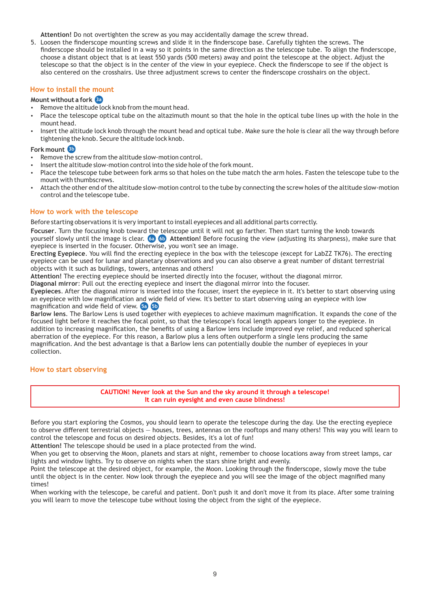**Attention!** Do not overtighten the screw as you may accidentally damage the screw thread.

5. Loosen the finderscope mounting screws and slide it in the finderscope base. Carefully tighten the screws. The finderscope should be installed in a way so it points in the same direction as the telescope tube. To align the finderscope, choose a distant object that is at least 550 yards (500 meters) away and point the telescope at the object. Adjust the telescope so that the object is in the center of the view in your eyepiece. Check the finderscope to see if the object is also centered on the crosshairs. Use three adjustment screws to center the finderscope crosshairs on the object.

### **How to install the mount**

### **Mount without a fork 3a**

- Remove the altitude lock knob from the mount head.
- Place the telescope optical tube on the altazimuth mount so that the hole in the optical tube lines up with the hole in the mount head.
- Insert the altitude lock knob through the mount head and optical tube. Make sure the hole is clear all the way through before tightening the knob. Secure the altitude lock knob.

### **Fork mount 3b**

- Remove the screw from the altitude slow-motion control.
- Insert the altitude slow-motion control into the side hole of the fork mount.
- Place the telescope tube between fork arms so that holes on the tube match the arm holes. Fasten the telescope tube to the mount with thumbscrews.
- Attach the other end of the altitude slow-motion control to the tube by connecting the screw holes of the altitude slow-motion control and the telescope tube.

### **How to work with the telescope**

Before starting observations it is very important to install eyepieces and all additional parts correctly.

**Focuser**. Turn the focusing knob toward the telescope until it will not go farther. Then start turning the knob towards yourself slowly until the image is clear. **Attention!** Before focusing the view (adjusting its sharpness), make sure that eyepiece is inserted in the focuser. Otherwise, you won't see an image. **6a 6b**

**Erecting Eyepiece**. You will find the erecting eyepiece in the box with the telescope (except for LabZZ TK76). The erecting eyepiece can be used for lunar and planetary observations and you can also observe a great number of distant terrestrial objects with it such as buildings, towers, antennas and others!

**Attention!** The erecting eyepiece should be inserted directly into the focuser, without the diagonal mirror.

**Diagonal mirror**: Pull out the erecting eyepiece and insert the diagonal mirror into the focuser.

**Eyepieces**. After the diagonal mirror is inserted into the focuser, insert the eyepiece in it. It's better to start observing using an eyepiece with low magnification and wide field of view. It's better to start observing using an eyepiece with low magnification and wide field of view. **5a 5b**

**Barlow lens**. The Barlow Lens is used together with eyepieces to achieve maximum magnification. It expands the cone of the focused light before it reaches the focal point, so that the telescope's focal length appears longer to the eyepiece. In addition to increasing magnification, the benefits of using a Barlow lens include improved eye relief, and reduced spherical aberration of the eyepiece. For this reason, a Barlow plus a lens often outperform a single lens producing the same magnification. And the best advantage is that a Barlow lens can potentially double the number of eyepieces in your collection.

### **How to start observing**

**CAUTION! Never look at the Sun and the sky around it through a telescope! It can ruin eyesight and even cause blindness!**

Before you start exploring the Cosmos, you should learn to operate the telescope during the day. Use the erecting eyepiece to observe different terrestrial objects — houses, trees, antennas on the rooftops and many others! This way you will learn to control the telescope and focus on desired objects. Besides, it's a lot of fun!

**Attention!** The telescope should be used in a place protected from the wind.

When you get to observing the Moon, planets and stars at night, remember to choose locations away from street lamps, car lights and window lights. Try to observe on nights when the stars shine bright and evenly.

Point the telescope at the desired object, for example, the Moon. Looking through the finderscope, slowly move the tube until the object is in the center. Now look through the eyepiece and you will see the image of the object magnified many times!

When working with the telescope, be careful and patient. Don't push it and don't move it from its place. After some training you will learn to move the telescope tube without losing the object from the sight of the eyepiece.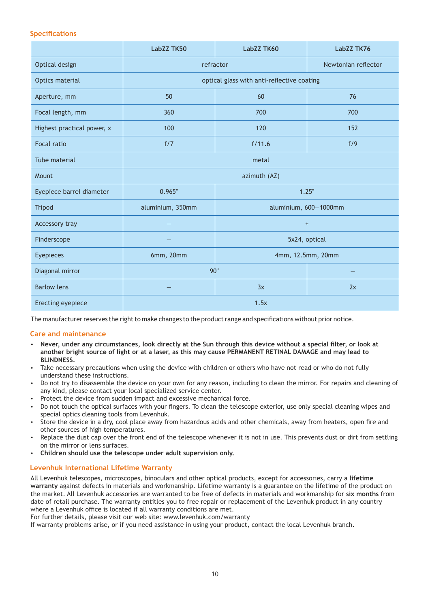### **Specifications**

|                            | <b>LabZZ TK50</b>                          | LabZZ TK60 | LabZZ TK76          |
|----------------------------|--------------------------------------------|------------|---------------------|
| Optical design             | refractor                                  |            | Newtonian reflector |
| Optics material            | optical glass with anti-reflective coating |            |                     |
| Aperture, mm               | 50                                         | 60         | 76                  |
| Focal length, mm           | 360                                        | 700        | 700                 |
| Highest practical power, x | 100                                        | 120        | 152                 |
| <b>Focal ratio</b>         | f/7                                        | f/11.6     | f/9                 |
| Tube material              | metal                                      |            |                     |
| Mount                      | azimuth (AZ)                               |            |                     |
| Eyepiece barrel diameter   | 0.965"                                     |            | 1.25"               |
| <b>Tripod</b>              | aluminium, 350mm<br>aluminium, 600-1000mm  |            |                     |
| Accessory tray             | $+$                                        |            |                     |
| Finderscope                |                                            |            | 5x24, optical       |
| Eyepieces                  | 6mm, 20mm<br>4mm, 12.5mm, 20mm             |            |                     |
| Diagonal mirror            | 90°                                        |            |                     |
| <b>Barlow lens</b>         |                                            | 3x         | 2x                  |
| Erecting eyepiece          | 1.5x                                       |            |                     |

The manufacturer reserves the right to make changes to the product range and specifications without prior notice.

### **Care and maintenance**

- џ **Never, under any circumstances, look directly at the Sun through this device without a special filter, or look at another bright source of light or at a laser, as this may cause PERMANENT RETINAL DAMAGE and may lead to BLINDNESS.**
- Take necessary precautions when using the device with children or others who have not read or who do not fully understand these instructions.
- Do not try to disassemble the device on your own for any reason, including to clean the mirror. For repairs and cleaning of any kind, please contact your local specialized service center.
- Protect the device from sudden impact and excessive mechanical force.
- Do not touch the optical surfaces with your fingers. To clean the telescope exterior, use only special cleaning wipes and special optics cleaning tools from Levenhuk.
- Store the device in a dry, cool place away from hazardous acids and other chemicals, away from heaters, open fire and other sources of high temperatures.
- Replace the dust cap over the front end of the telescope whenever it is not in use. This prevents dust or dirt from settling on the mirror or lens surfaces.
- џ **Children should use the telescope under adult supervision only.**

### **Levenhuk International Lifetime Warranty**

All Levenhuk telescopes, microscopes, binoculars and other optical products, except for accessories, carry a **lifetime warranty** against defects in materials and workmanship. Lifetime warranty is a guarantee on the lifetime of the product on the market. All Levenhuk accessories are warranted to be free of defects in materials and workmanship for **six months** from date of retail purchase. The warranty entitles you to free repair or replacement of the Levenhuk product in any country where a Levenhuk office is located if all warranty conditions are met.

For further details, please visit our web site: www.levenhuk.com/warranty

If warranty problems arise, or if you need assistance in using your product, contact the local Levenhuk branch.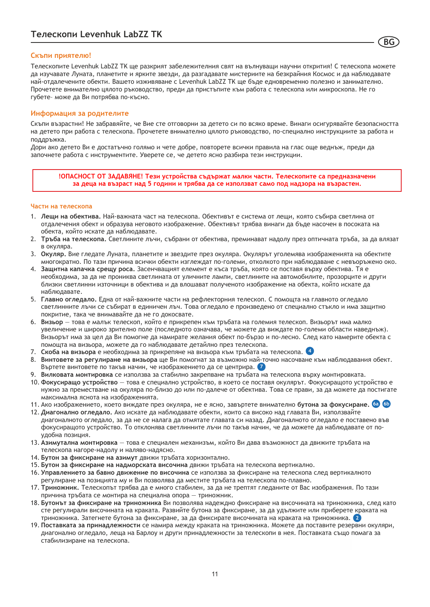### **Скъпи приятелю!**

Телескопите Levenhuk LabZZ TK ще разкрият забележителния свят на вълнуващи научни открития! С телескопа можете да изучавате Луната, планетите и ярките звезди, да разгадавате мистериите на безкрайния Космос и да наблюдавате най-отдалечените обекти. Вашето изживяване с Levenhuk LabZZ TK ще бъде едновременно полезно и занимателно. Прочетете внимателно цялото ръководство, преди да пристъпите към работа с телескопа или микроскопа. Не го губете– може да Ви потрябва по-късно.

**BG**

### **Информация за родителите**

Скъпи възрастни! Не забравяйте, че Вие сте отговорни за детето си по всяко време. Винаги осигурявайте безопасността на детето при работа с телескопа. Прочетете внимателно цялото ръководство, по-специално инструкциите за работа и поддръжка.

Дори ако детето Ви е достатъчно голямо и чете добре, повторете всички правила на глас още веднъж, преди да започнете работа с инструментите. Уверете се, че детето ясно разбира тези инструкции.

**!ОПАСНОСТ ОТ ЗАДАВЯНЕ! Тези устройства съдържат малки части. Телескопите са предназначени за деца на възраст над 5 години и трябва да се използват само под надзора на възрастен.**

### **Части на телескопа**

- 1. **Лещи на обектива.** Най-важната част на телескопа. Обективът е система от лещи, която събира светлина от отдалечения обект и образува неговото изображение. Обективът трябва винаги да бъде насочен в посоката на обекта, който искате да наблюдавате.
- 2. **Тръба на телескопа.** Светлините лъчи, събрани от обектива, преминават надолу през оптичната тръба, за да влязат в окуляра.
- 3. **Окуляр.** Вие гледате Луната, планетите и звездите през окуляра. Окулярът уголемява изображенията на обектите многократно. По тази причина всички обекти изглеждат по-големи, отколкото при наблюдаване с невъоръжено око.
- 4. **Защитна капачка срещу роса.** Засенчващият елемент е къса тръба, която се поставя върху обектива. Тя е необходима, за да не прониква светлината от уличните лампи, светлините на автомобилите, прозорците и други близки светлинни източници в обектива и да влошават полученото изображение на обекта, който искате да наблюдавате.
- 5. **Главно огледало.** Една от най-важните части на рефлекторния телескоп. С помощта на главното огледало светлинните лъчи се събират в единичен лъч. Това огледало е произведено от специално стъкло и има защитно покритие, така че внимавайте да не го докосвате.
- 6. **Визьор** това е малък телескоп, който е прикрепен към тръбата на големия телескоп. Визьорът има малко увеличение и широко зрително поле (последното означава, че можете да виждате по-големи области наведнъж). Визьорът има за цел да Ви помогне да намирате желания обект по-бързо и по-лесно. След като намерите обекта с помощта на визьора, можете да го наблюдавате детайлно през телескопа.
- 7. **Скоба на визьора** е необходима за прикрепяне на визьора към тръбата на телескопа. **4**
- 8. **Винтовете за регулиране на визьора** ще Ви помогнат за възможно най-точно насочване към наблюдавания обект. Въртете винтовете по такъв начин, че изображението да се центрира. **7**
- 9. **Вилковата монтировка** се използва за стабилно закрепване на тръбата на телескопа върху монтировката.
- 10. **Фокусиращо устройство**  това е специално устройство, в което се поставя окулярът. Фокусиращото устройство е нужно за преместване на окуляра по-близо до или по-далече от обектива. Това се прави, за да можете да постигате максимална яснота на изображенията.
- 11. Ако изображението, което виждате през окуляра, не е ясно, завъртете внимателно **бутона за фокусиране. 6a 6b**
- 12. **Диагонално огледало.** Ако искате да наблюдавате обекти, които са високо над главата Ви, използвайте диагоналното огледало, за да не се налага да отмятате главата си назад. Диагоналното огледало е поставено във фокусиращото устройство. То отклонява светлинните лъчи по такъв начин, че да можете да наблюдавате от поудобна позиция.
- 13. **Азимутална монтировка**  това е специален механизъм, който Ви дава възможност да движите тръбата на телескопа нагоре-надолу и наляво-надясно.
- 14. **Бутон за фиксиране на азимут** движи тръбата хоризонтално.
- 15. **Бутон за фиксиране на надморската височина** движи тръбата на телескопа вертикално.
- 16. **Управлението за бавно движение по височина** се използва за фиксиране на телескопа след вертикалното регулиране на позицията му и Ви позволява да местите тръбата на телескопа по-плавно.
- 17. **Триножник.** Телескопът трябва да е много стабилен, за да не трептят гледаните от Вас изображения. По тази причина тръбата се монтира на специална опора — триножник.
- 18. **Бутонът за фиксиране на триножника** Ви позволява надеждно фиксиране на височината на триножника, след като сте регулирали височината на краката. Развийте бутона за фиксиране, за да удължите или приберете краката на триножника. Затегнете бутона за фиксиране, за да фиксирате височината на краката на триножника. **2**
- 19. **Поставката за принадлежности** се намира между краката на триножника. Можете да поставите резервни окуляри, диагонално огледало, леща на Барлоу и други принадлежности за телескопи в нея. Поставката също помага за стабилизиране на телескопа.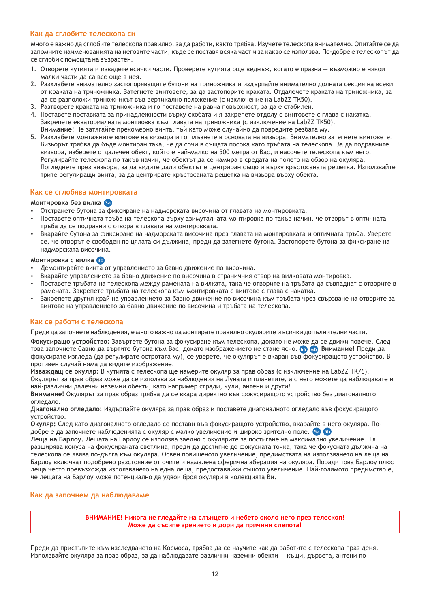### **Как да сглобите телескопа си**

Много е важно да сглобите телескопа правилно, за да работи, както трябва. Изучете телескопа внимателно. Опитайте се да запомните наименованията на неговите части, къде се поставя всяка част и за какво се използва. По-добре е телескопът да се сглоби с помощта на възрастен.

- 1. Отворете кутията и извадете всички части. Проверете кутията още веднъж, когато е празна възможно е някои малки части да са все още в нея.
- 2. Разхлабете внимателно застопоряващите бутони на триножника и издърпайте внимателно долната секция на всеки от краката на триножника. Затегнете винтовете, за да застопорите краката. Отдалечете краката на триножника, за да се разположи триножникът във вертикално положение (с изключение на LabZZ TK50).
- 3. Разтворете краката на триножника и го поставете на равна повърхност, за да е стабилен.
- 4. Поставете поставката за принадлежности върху скобата и я закрепете отдолу с винтовете с глава с накатка. Закрепете екваториалната монтиовка към главата на триножника (с изключение на LabZZ TK50). **Внимание!** Не затягайте прекомерно винта, тъй като може случайно да повредите резбата му.
- 5. Разхлабете монтажните винтове на визьора и го плъзнете в основата на визьора. Внимателно затегнете винтовете. Визьорът трябва да бъде монтиран така, че да сочи в същата посока като тръбата на телескопа. За да подравните визьора, изберете отдалечен обект, който е най-малко на 500 метра от Вас, и насочете телескопа към него. Регулирайте телескопа по такъв начин, че обектът да се намира в средата на полето на обзор на окуляра. Погледнете през визьора, за да видите дали обектът е центриран също и върху кръстосаната решетка. Използвайте трите регулиращи винта, за да центрирате кръстосаната решетка на визьора върху обекта.

### **Как се сглобява монтировката**

### **Монтировка без вилка 3a**

- џ Отстранете бутона за фиксиране на надморската височина от главата на монтировката.
- Поставете оптичната тръба на телескопа върху азимуталната монтировка по такъв начин, че отворът в оптичната тръба да се подравни с отвора в главата на монтировката.
- Вкарайте бутона за фиксиране на надморската височина през главата на монтировката и оптичната тръба. Уверете се, че отворът е свободен по цялата си дължина, преди да затегнете бутона. Застопорете бутона за фиксиране на надморската височина.

### **Монтировка с вилка 3b**

- Демонтирайте винта от управлението за бавно движение по височина.
- Вкарайте управлението за бавно движение по височина в страничния отвор на вилковата монтировка.
- џ Поставете тръбата на телескопа между рамената на вилката, така че отворите на тръбата да съвпаднат с отворите в рамената. Закрепете тръбата на телескопа към монтировката с винтове с глава с накатка.
- Закрепете другия край на управлението за бавно движение по височина към тръбата чрез свързване на отворите за винтове на управлението за бавно движение по височина и тръбата на телескопа.

### **Как се работи с телескопа**

Преди да започнете наблюдения, е много важно да монтирате правилно окулярите и всички допълнителни части.

**Фокусиращо устройство:** Завъртете бутона за фокусиране към телескопа, докато не може да се движи повече. След това започнете бавно да въртите бутона към Вас, докато изображението не стане ясно. **Внимание!** Преди да **6a 6b** фокусирате изгледа (да регулирате остротата му), се уверете, че окулярът е вкаран във фокусиращото устройство. В противен случай няма да видите изображение.

**Изваждащ се окуляр:** В кутията с телескопа ще намерите окуляр за прав образ (с изключение на LabZZ TK76). Окулярът за прав образ може да се използва за наблюдения на Луната и планетите, а с него можете да наблюдавате и най-различни далечни наземни обекти, като например сгради, кули, антени и други!

**Внимание!** Окулярът за прав образ трябва да се вкара директно във фокусиращото устройство без диагоналното огледало.

**Диагонално огледало:** Издърпайте окуляра за прав образ и поставете диагоналното огледало във фокусиращото устройство.

**Окуляр:** След като диагоналното огледало се постави във фокусиращото устройство, вкарайте в него окуляра. Подобре е да започнете наблюденията с окуляр с малко увеличение и широко зрително поле. **5a 5b**

**Леща на Барлоу.** Лещата на Барлоу се използва заедно с окулярите за постигане на максимално увеличение. Тя разширява конуса на фокусираната светлина, преди да достигне до фокусната точка, така че фокусната дължина на телескопа се явява по-дълга към окуляра. Освен повишеното увеличение, предимствата на използването на леща на Барлоу включват подобрено разстояние от очите и намалена сферична аберация на окуляра. Поради това Барлоу плюс леща често превъзхожда използването на една леща, предоставяйки същото увеличение. Най-голямото предимство е, че лещата на Барлоу може потенциално да удвои броя окуляри в колекцията Ви.

### **Как да започнем да наблюдаваме**

**ВНИМАНИЕ! Никога не гледайте на слънцето и небето около него през телескоп! Може да съсипе зрението и дори да причини слепота!**

Преди да пристъпите към изследването на Космоса, трябва да се научите как да работите с телескопа праз деня. Използвайте окуляра за прав образ, за да наблюдавате различни наземни обекти — къщи, дървета, антени по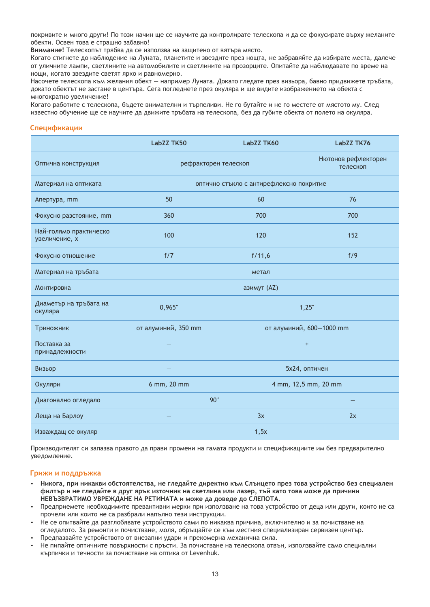покривите и много други! По този начин ще се научите да контролирате телескопа и да се фокусирате върху желаните обекти. Освен това е страшно забавно!

**Внимание!** Телескопът трябва да се използва на защитено от вятъра място.

Когато стигнете до наблюдение на Луната, планетите и звездите през нощта, не забравяйте да избирате места, далечe от уличните лампи, светлините на автомобилите и светлините на прозорците. Опитайте да наблюдавате по време на нощи, когато звездите светят ярко и равномерно.

Насочете телескопа към желания обект — например Луната. Докато гледате през визьора, бавно придвижете тръбата, докато обектът не застане в центъра. Сега погледнете през окуляра и ще видите изображението на обекта с многократно увеличение!

Когато работите с телескопа, бъдете внимателни и търпеливи. Не го бутайте и не го местете от мястото му. След известно обучение ще се научите да движите тръбата на телескопа, без да губите обекта от полето на окуляра.

### **Спецификации**

|                                         | <b>LabZZ TK50</b>                   | LabZZ TK60                              | LabZZ TK76                      |
|-----------------------------------------|-------------------------------------|-----------------------------------------|---------------------------------|
| Оптична конструкция                     | рефракторен телескоп                |                                         | Нютонов рефлекторен<br>телескоп |
| Материал на оптиката                    |                                     | оптично стъкло с антирефлексно покритие |                                 |
| Апертура, mm                            | 50                                  | 60                                      | 76                              |
| Фокусно разстояние, mm                  | 360                                 | 700                                     | 700                             |
| Най-голямо практическо<br>увеличение, х | 100                                 | 120                                     | 152                             |
| Фокусно отношение                       | f/7                                 | f/11,6                                  | f/9                             |
| Материал на тръбата                     | метал                               |                                         |                                 |
| Монтировка                              | азимут (AZ)                         |                                         |                                 |
| Диаметър на тръбата на<br>окуляра       | 0,965"                              | 1,25"                                   |                                 |
| Триножник                               | от алуминий, 350 mm                 | от алуминий, 600-1000 mm                |                                 |
| Поставка за<br>принадлежности           |                                     | $\begin{array}{c} + \end{array}$        |                                 |
| Визьор                                  |                                     | 5х24, оптичен                           |                                 |
| Окуляри                                 | 4 mm, 12,5 mm, 20 mm<br>6 mm, 20 mm |                                         |                                 |
| Диагонално огледало                     | 90°                                 |                                         |                                 |
| Леща на Барлоу                          |                                     | 3x                                      | 2x                              |
| Изваждащ се окуляр                      | 1,5x                                |                                         |                                 |

Производителят си запазва правото да прави промени на гамата продукти и спецификациите им без предварително уведомление.

### **Грижи и поддръжка**

- џ **Никога, при никакви обстоятелства, не гледайте директно към Слънцето през това устройство без специален филтър и не гледайте в друг ярък източник на светлина или лазер, тъй като това може да причини НЕВЪЗВРАТИМО УВРЕЖДАНЕ НА РЕТИНАТА и може да доведе до СЛЕПОТА.**
- Предприемете необходимите превантивни мерки при използване на това устройство от деца или други, които не са прочели или които не са разбрали напълно тези инструкции.
- Не се опитвайте да разглобявате устройството сами по никаква причина, включително и за почистване на огледалото. За ремонти и почистване, моля, обръщайте се към местния специализиран сервизен център.
- Предпазвайте устройството от внезапни удари и прекомерна механична сила.
- Не пипайте оптичните повърхности с пръсти. За почистване на телескопа отвън, използвайте само специални кърпички и течности за почистване на оптика от Levenhuk.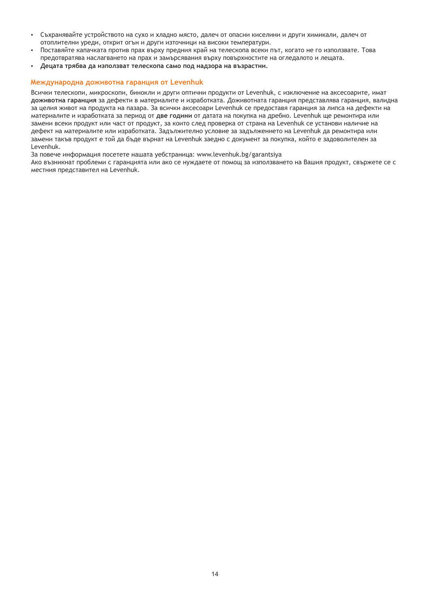- џ Съхранявайте устройството на сухо и хладно място, далеч от опасни киселини и други химикали, далеч от отоплителни уреди, открит огън и други източници на високи температури.
- Поставяйте капачката против прах върху предния край на телескопа всеки път, когато не го използвате. Това предотвратява наслагването на прах и замърсявания върху повърхностите на огледалото и лещата.
- џ **Децата трябва да използват телескопа само под надзора на възрастни.**

### **Международна доживотна гаранция от Levenhuk**

Всички телескопи, микроскопи, бинокли и други оптични продукти от Levenhuk, с изключение на аксесоарите, имат **доживотна гаранция** за дефекти в материалите и изработката. Доживотната гаранция представлява гаранция, валидна за целия живот на продукта на пазара. За всички аксесоари Levenhuk се предоставя гаранция за липса на дефекти на материалите и изработката за период от **две години** от датата на покупка на дребно. Levenhuk ще ремонтира или замени всеки продукт или част от продукт, за които след проверка от страна на Levenhuk се установи наличие на дефект на материалите или изработката. Задължително условие за задължението на Levenhuk да ремонтира или замени такъв продукт е той да бъде върнат на Levenhuk заедно с документ за покупка, който е задоволителен за Levenhuk.

За повече информация посетете нашата уебстраница: www.levenhuk.bg/garantsiya

Ако възникнат проблеми с гаранцията или ако се нуждаете от помощ за използването на Вашия продукт, свържете се с местния представител на Levenhuk.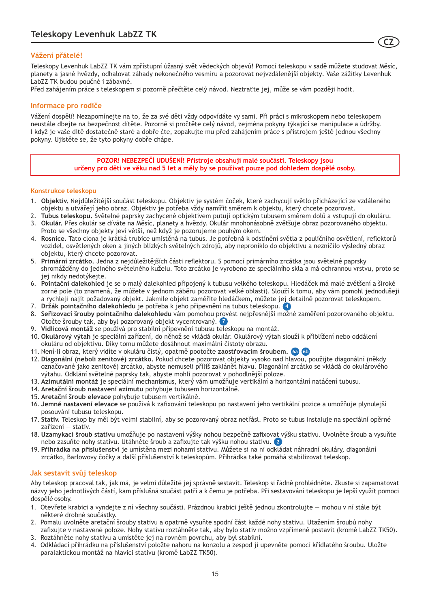### **Vážení přátelé!**

Teleskopy Levenhuk LabZZ TK vám zpřístupní úžasný svět vědeckých objevů! Pomocí teleskopu v sadě můžete studovat Měsíc, planety a jasné hvězdy, odhalovat záhady nekonečného vesmíru a pozorovat nejvzdálenější objekty. Vaše zážitky Levenhuk LabZZ TK budou poučné i zábavné.

**CZ**

Před zahájením práce s teleskopem si pozorně přečtěte celý návod. Neztraťte jej, může se vám později hodit.

### **Informace pro rodiče**

Vážení dospělí! Nezapomínejte na to, že za své děti vždy odpovídáte vy sami. Při práci s mikroskopem nebo teleskopem neustále dbejte na bezpečnost dítěte. Pozorně si pročtěte celý návod, zejména pokyny týkající se manipulace a údržby. I když je vaše dítě dostatečně staré a dobře čte, zopakujte mu před zahájením práce s přístrojem ještě jednou všechny pokyny. Ujistěte se, že tyto pokyny dobře chápe.

> **POZOR! NEBEZPEČÍ UDUŠENÍ! Přístroje obsahují malé součásti. Teleskopy jsou určeny pro děti ve věku nad 5 let a měly by se používat pouze pod dohledem dospělé osoby.**

### **Konstrukce teleskopu**

- 1. **Objektiv.** Nejdůležitější součást teleskopu. Objektiv je systém čoček, které zachycují světlo přicházející ze vzdáleného objektu a utvářejí jeho obraz. Objektiv je potřeba vždy namířit směrem k objektu, který chcete pozorovat.
- 2. **Tubus teleskopu.** Světelné paprsky zachycené objektivem putují optickým tubusem směrem dolů a vstupují do okuláru.
- 3. **Okulár.** Přes okulár se díváte na Měsíc, planety a hvězdy. Okulár mnohonásobně zvětšuje obraz pozorovaného objektu. Proto se všechny objekty jeví větší, než když je pozorujeme pouhým okem.
- 4. **Rosnice.** Tato clona je krátká trubice umístěná na tubus. Je potřebná k odstínění světla z pouličního osvětlení, reflektorů vozidel, osvětlených oken a jiných blízkých světelných zdrojů, aby neproniklo do objektivu a nezničilo výsledný obraz objektu, který chcete pozorovat.
- 5. **Primární zrcátko.** Jedna z nejdůležitějších části reflektoru. S pomocí primárního zrcátka jsou světelné paprsky shromážděny do jediného světelného kuželu. Toto zrcátko je vyrobeno ze speciálního skla a má ochrannou vrstvu, proto se jej nikdy nedotýkejte.
- 6. **Pointační dalekohled** je se o malý dalekohled připojený k tubusu velkého teleskopu. Hledáček má malé zvětšení a široké zorné pole (to znamená, že můžete v jednom záběru pozorovat velké oblasti). Slouží k tomu, aby vám pomohl jednodušeji a rychleji najít požadovaný objekt. Jakmile objekt zaměříte hledáčkem, můžete jej detailně pozorovat teleskopem.
- 7. **Držák pointačního dalekohledu** je potřeba k jeho připevnění na tubus teleskopu. **4**
- 8. **Seřizovací šrouby pointačního dalekohledu** vám pomohou provést nejpřesnější možné zaměření pozorovaného objektu. Otočte šrouby tak, aby byl pozorovaný objekt vycentrovaný. **7**
- 9. **Vidlicová montáž** se používá pro stabilní připevnění tubusu teleskopu na montáž.
- 10. **Okulárový výtah** je speciální zařízení, do něhož se vkládá okulár. Okulárový výtah slouží k přiblížení nebo oddálení okuláru od objektivu. Díky tomu můžete dosáhnout maximální čistoty obrazu.
- 11. Není-li obraz, který vidíte v okuláru čistý, opatrně pootočte **zaostřovacím šroubem. 6a 6b**
- 12. **Diagonální (neboli zenitové) zrcátko.** Pokud chcete pozorovat objekty vysoko nad hlavou, použijte diagonální (někdy označované jako zenitové) zrcátko, abyste nemuseli příliš zaklánět hlavu. Diagonální zrcátko se vkládá do okulárového výtahu. Odklání světelné paprsky tak, abyste mohli pozorovat v pohodlnější poloze.
- 13. **Azimutální montáž** je speciální mechanismus, který vám umožňuje vertikální a horizontální natáčení tubusu.
- 14. **Aretační šroub nastavení azimutu** pohybuje tubusem horizontálně.
- 15. **Aretační šroub elevace** pohybuje tubusem vertikálně.
- 16. **Jemné nastavení elevace** se používá k zafixování teleskopu po nastavení jeho vertikální pozice a umožňuje plynulejší posouvání tubusu teleskopu.
- 17. **Stativ.** Teleskop by měl být velmi stabilní, aby se pozorovaný obraz netřásl. Proto se tubus instaluje na speciální opěrné zařízení — stativ.
- 18. **Uzamykací šroub stativu** umožňuje po nastavení výšky nohou bezpečně zafixovat výšku stativu. Uvolněte šroub a vysuňte nebo zasuňte nohy stativu. Utáhněte šroub a zafixujte tak výšku nohou stativu. **2**
- 19. **Přihrádka na příslušenství** je umístěna mezi nohami stativu. Můžete si na ni odkládat náhradní okuláry, diagonální zrcátko, Barlowovy čočky a další příslušenství k teleskopům. Přihrádka také pomáhá stabilizovat teleskop.

### **Jak sestavit svůj teleskop**

Aby teleskop pracoval tak, jak má, je velmi důležité jej správně sestavit. Teleskop si řádně prohlédněte. Zkuste si zapamatovat názvy jeho jednotlivých částí, kam příslušná součást patří a k čemu je potřeba. Při sestavování teleskopu je lepší využít pomoci dospělé osoby.

- 1. Otevřete krabici a vyndejte z ní všechny součásti. Prázdnou krabici ještě jednou zkontrolujte mohou v ní stále být některé drobné součástky.
- 2. Pomalu uvolněte aretační šrouby stativu a opatrně vysuňte spodní část každé nohy stativu. Utažením šroubů nohy zafixujte v nastavené poloze. Nohy stativu roztáhněte tak, aby bylo stativ možno vzpřímeně postavit (kromě LabZZ TK50).
- 3. Roztáhněte nohy stativu a umístěte jej na rovném povrchu, aby byl stabilní.
- 4. Odkládací přihrádku na příslušenství položte nahoru na konzolu a zespod ji upevněte pomocí křídlatého šroubu. Uložte paralaktickou montáž na hlavici stativu (kromě LabZZ TK50).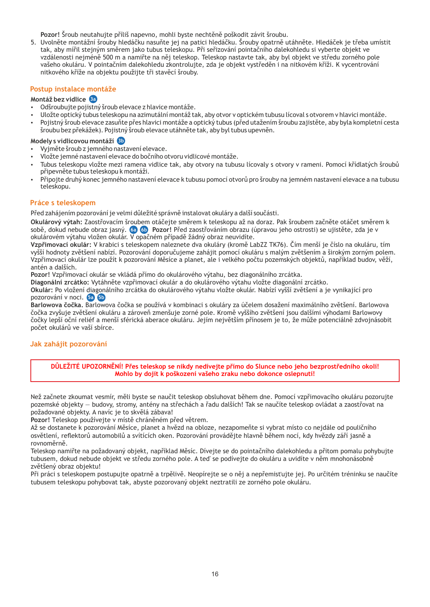**Pozor!** Šroub neutahujte příliš napevno, mohli byste nechtěně poškodit závit šroubu.

5. Uvolněte montážní šrouby hledáčku nasuňte jej na patici hledáčku. Srouby opatrně utáhněte. Hledáček je třeba umístit tak, aby mířil stejným směrem jako tubus teleskopu. Při seřizování pointačního dalekohledu si vyberte objekt ve vzdálenosti nejméně 500 m a namiřte na něj teleskop. Teleskop nastavte tak, aby byl objekt ve středu zorného pole vašeho okuláru. V pointačním dalekohledu zkontrolujte, zda je objekt vystředěn i na nitkovém kříži. K vycentrování nitkového kříže na objektu použijte tři stavěcí šrouby.

### **Postup instalace montáže**

### **Montáž bez vidlice 3a**

- Odšroubujte pojistný šroub elevace z hlavice montáže.
- џ Uložte optický tubus teleskopu na azimutální montáž tak, aby otvor v optickém tubusu lícoval s otvorem v hlavici montáže.
- Pojistný šroub elevace zasuňte přes hlavici montáže a optický tubus (před utažením šroubu zajistěte, aby byla kompletní cesta šroubu bez překážek). Pojistný šroub elevace utáhněte tak, aby byl tubus upevněn.

### **Modely s vidlicovou montáží 3b**

- џ Vyjměte šroub z jemného nastavení elevace.
- џ Vložte jemné nastavení elevace do bočního otvoru vidlicové montáže.
- Tubus teleskopu vložte mezi ramena vidlice tak, aby otvory na tubusu lícovaly s otvory v rameni. Pomocí křídlatých šroubů připevněte tubus teleskopu k montáži.
- Připojte druhý konec jemného nastavení elevace k tubusu pomocí otvorů pro šrouby na jemném nastavení elevace a na tubusu teleskopu.

### **Práce s teleskopem**

Před zahájením pozorování je velmi důležité správně instalovat okuláry a další součásti.

**Okulárový výtah:** Zaostřovacím šroubem otáčejte směrem k teleskopu až na doraz. Pak šroubem začněte otáčet směrem k sobě, dokud nebude obraz jasný. **Pozor!** Před zaostřováním obrazu (úpravou jeho ostrosti) se ujistěte, zda je v **6a 6b** okulárovém výtahu vložen okulár. V opačném případě žádný obraz neuvidíte.

**Vzpřimovací okulár:** V krabici s teleskopem naleznete dva okuláry (kromě LabZZ TK76). Čím menší je číslo na okuláru, tím vyšší hodnoty zvětšení nabízí. Pozorování doporučujeme zahájit pomocí okuláru s malým zvětšením a širokým zorným polem. Vzpřimovací okulár lze použít k pozorování Měsíce a planet, ale i velkého počtu pozemských objektů, například budov, věží, antén a dalších.

**Pozor!** Vzpřimovací okulár se vkládá přímo do okulárového výtahu, bez diagonálního zrcátka.

**Diagonální zrcátko:** Vytáhněte vzpřimovací okulár a do okulárového výtahu vložte diagonální zrcátko.

**Okulár:** Po vložení diagonálního zrcátka do okulárového výtahu vložte okulár. Nabízí vyšší zvětšení a je vynikající pro pozorování v noci. **5a 5b**

**Barlowova čočka.** Barlowova čočka se používá v kombinaci s okuláry za účelem dosažení maximálního zvětšení. Barlowova čočka zvyšuje zvětšení okuláru a zároveň zmenšuje zorné pole. Kromě vyššího zvětšení jsou dalšími výhodami Barlowovy čočky lepší oční reliéf a menší sférická aberace okuláru. Jejím největším přínosem je to, že může potenciálně zdvojnásobit počet okulárů ve vaší sbírce.

### **Jak zahájit pozorování**

**DŮLEŽITÉ UPOZORNĚNÍ! Přes teleskop se nikdy nedívejte přímo do Slunce nebo jeho bezprostředního okolí! Mohlo by dojít k poškození vašeho zraku nebo dokonce oslepnutí!**

Než začnete zkoumat vesmír, měli byste se naučit teleskop obsluhovat během dne. Pomocí vzpřimovacího okuláru pozorujte pozemské objekty — budovy, stromy, antény na střechách a řadu dalších! Tak se naučíte teleskop ovládat a zaostřovat na požadované objekty. A navíc je to skvělá zábava!

**Pozor!** Teleskop používejte v místě chráněném před větrem.

Až se dostanete k pozorování Měsíce, planet a hvězd na obloze, nezapomeňte si vybrat místo co nejdále od pouličního osvětlení, reflektorů automobilů a svítících oken. Pozorování provádějte hlavně během nocí, kdy hvězdy září jasně a rovnoměrně.

Teleskop namiřte na požadovaný objekt, například Měsíc. Dívejte se do pointačního dalekohledu a přitom pomalu pohybujte tubusem, dokud nebude objekt ve středu zorného pole. A teď se podívejte do okuláru a uvidíte v něm mnohonásobně zvětšený obraz objektu!

Při práci s teleskopem postupujte opatrně a trpělivě. Neopírejte se o něj a nepřemisťujte jej. Po určitém tréninku se naučíte tubusem teleskopu pohybovat tak, abyste pozorovaný objekt neztratili ze zorného pole okuláru.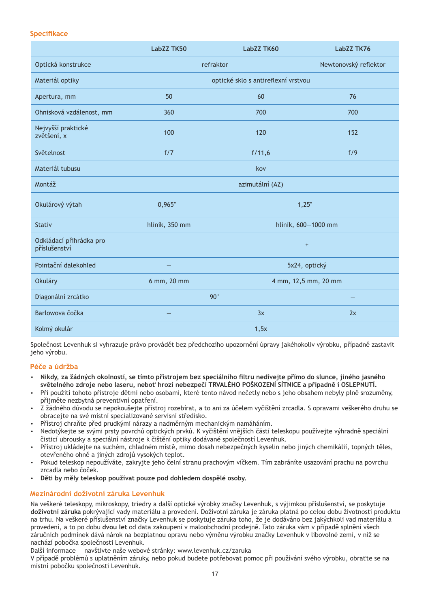### **Specifikace**

|                                          | LabZZ TK50                          | LabZZ TK60           | LabZZ TK76            |
|------------------------------------------|-------------------------------------|----------------------|-----------------------|
| Optická konstrukce                       | refraktor                           |                      | Newtonovský reflektor |
| Materiál optiky                          | optické sklo s antireflexní vrstvou |                      |                       |
| Apertura, mm                             | 50                                  | 60                   | 76                    |
| Ohnisková vzdálenost, mm                 | 360                                 | 700                  | 700                   |
| Nejvyšší praktické<br>zvětšení, x        | 100                                 | 120                  | 152                   |
| Světelnost                               | f/7                                 | f/11,6               | f/9                   |
| Materiál tubusu                          | kov                                 |                      |                       |
| Montáž                                   |                                     | azimutální (AZ)      |                       |
| Okulárový výtah                          | 0,965"                              | 1,25"                |                       |
| <b>Stativ</b>                            | hliník, 350 mm                      | hliník, 600-1000 mm  |                       |
| Odkládací přihrádka pro<br>příslušenství |                                     | $+$                  |                       |
| Pointační dalekohled                     |                                     | 5x24, optický        |                       |
| Okuláry                                  | 6 mm, 20 mm                         | 4 mm, 12,5 mm, 20 mm |                       |
| Diagonální zrcátko                       | 90°                                 |                      |                       |
| Barlowova čočka                          |                                     | 3x                   | 2x                    |
| Kolmý okulár                             | 1,5x                                |                      |                       |

Společnost Levenhuk si vyhrazuje právo provádět bez předchozího upozornění úpravy jakéhokoliv výrobku, případně zastavit jeho výrobu.

### **Péče a údržba**

- џ **Nikdy, za žádných okolností, se tímto přístrojem bez speciálního filtru nedívejte přímo do slunce, jiného jasného světelného zdroje nebo laseru, neboť hrozí nebezpečí TRVALÉHO POŠKOZENÍ SÍTNICE a případně i OSLEPNUTÍ.**
- Při použití tohoto přístroje dětmi nebo osobami, které tento návod nečetly nebo s jeho obsahem nebyly plně srozuměny, přijměte nezbytná preventivní opatření.
- џ Z žádného důvodu se nepokoušejte přístroj rozebírat, a to ani za účelem vyčištění zrcadla. S opravami veškerého druhu se obracejte na své místní specializované servisní středisko.
- Přístroj chraňte před prudkými nárazy a nadměrným mechanickým namáháním.
- џ Nedotýkejte se svými prsty povrchů optických prvků. K vyčištění vnějších částí teleskopu používejte výhradně speciální čisticí ubrousky a speciální nástroje k čištění optiky dodávané společností Levenhuk.
- Přístroj ukládejte na suchém, chladném místě, mimo dosah nebezpečných kyselin nebo jiných chemikálií, topných těles, otevřeného ohně a jiných zdrojů vysokých teplot.
- Pokud teleskop nepoužíváte, zakryjte jeho čelní stranu prachovým víčkem. Tím zabráníte usazování prachu na povrchu zrcadla nebo čoček.
- џ **Děti by měly teleskop používat pouze pod dohledem dospělé osoby.**

### **Mezinárodní doživotní záruka Levenhuk**

Na veškeré teleskopy, mikroskopy, triedry a další optické výrobky značky Levenhuk, s výjimkou příslušenství, se poskytuje **doživotní záruka** pokrývající vady materiálu a provedení. Doživotní záruka je záruka platná po celou dobu životnosti produktu na trhu. Na veškeré příslušenství značky Levenhuk se poskytuje záruka toho, že je dodáváno bez jakýchkoli vad materiálu a provedení, a to po dobu **dvou let** od data zakoupení v maloobchodní prodejně. Tato záruka vám v případě splnění všech záručních podmínek dává nárok na bezplatnou opravu nebo výměnu výrobku značky Levenhuk v libovolné zemi, v níž se nachází pobočka společnosti Levenhuk.

Další informace — navštivte naše webové stránky: www.levenhuk.cz/zaruka

V případě problémů s uplatněním záruky, nebo pokud budete potřebovat pomoc při používání svého výrobku, obraťte se na místní pobočku společnosti Levenhuk.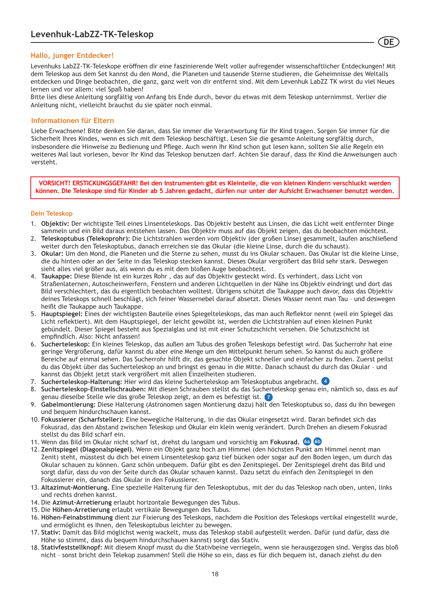### **Hallo, junger Entdecker!**

Levenhuks LabZZ-TK-Teleskope eröffnen dir eine faszinierende Welt voller aufregender wissenschaftlicher Entdeckungen! Mit dem Teleskop aus dem Set kannst du den Mond, die Planeten und tausende Sterne studieren, die Geheimnisse des Weltalls entdecken und Dinge beobachten, die ganz, ganz weit von dir entfernt sind. Mit dem Levenhuk LabZZ TK wirst du viel Neues lernen und vor allem: viel Spaß haben!

Bitte lies diese Anleitung sorgfältig von Anfang bis Ende durch, bevor du etwas mit dem Teleskop unternimmst. Verlier die Anleitung nicht, vielleicht brauchst du sie später noch einmal.

### **Informationen für Eltern**

Liebe Erwachsene! Bitte denken Sie daran, dass Sie immer die Verantwortung für Ihr Kind tragen. Sorgen Sie immer für die Sicherheit Ihres Kindes, wenn es sich mit dem Teleskop beschäftigt. Lesen Sie die gesamte Anleitung sorgfältig durch, insbesondere die Hinweise zu Bedienung und Pflege. Auch wenn Ihr Kind schon gut lesen kann, sollten Sie alle Regeln ein weiteres Mal laut vorlesen, bevor Ihr Kind das Teleskop benutzen darf. Achten Sie darauf, dass Ihr Kind die Anweisungen auch versteht.

**VORSICHT! ERSTICKUNGSGEFAHR! Bei den Instrumenten gibt es Kleinteile, die von kleinen Kindern verschluckt werden können. Die Teleskope sind für Kinder ab 5 Jahren gedacht, dürfen nur unter der Aufsicht Erwachsener benutzt werden.**

### **Dein Teleskop**

- 1. **Objektiv:** Der wichtigste Teil eines Linsenteleskops. Das Objektiv besteht aus Linsen, die das Licht weit entfernter Dinge sammeln und ein Bild daraus entstehen lassen. Das Objektiv muss auf das Objekt zeigen, das du beobachten möchtest.
- 2. **Teleskoptubus (Telekoprohr):** Die Lichtstrahlen werden vom Objektiv (der großen Linse) gesammelt, laufen anschließend weiter durch den Teleskoptubus, danach erreichen sie das Okular (die kleine Linse, durch die du schaust).
- 3. **Okular:** Um den Mond, die Planeten und die Sterne zu sehen, musst du ins Okular schauen. Das Okular ist die kleine Linse, die du hinten oder an der Seite in das Teleskop stecken kannst. Dieses Okular vergrößert das Bild sehr stark. Deswegen sieht alles viel größer aus, als wenn du es mit dem bloßen Auge beobachtest.
- 4. **Taukappe:** Diese Blende ist ein kurzes Rohr , das auf das Objektiv gesteckt wird. Es verhindert, dass Licht von Straßenlaternen, Autoscheinwerfern, Fenstern und anderen Lichtquellen in der Nähe ins Objektiv eindringt und dort das Bild verschlechtert, das du eigentlich beobachten wolltest. Übrigens schützt die Taukappe auch davor, dass das Objektiv deines Teleskops schnell beschlägt, sich feiner Wassernebel darauf absetzt. Dieses Wasser nennt man Tau – und deswegen heißt die Taukappe auch Taukappe.
- 5. **Hauptspiegel:** Eines der wichtigsten Bauteile eines Spiegelteleskops, das man auch Reflektor nennt (weil ein Spiegel das Licht reflektiert). Mit dem Hauptspiegel, der leicht gewölbt ist, werden die Lichtstrahlen auf einen kleinen Punkt gebündelt. Dieser Spiegel besteht aus Spezialglas und ist mit einer Schutzschicht versehen. Die Schutzschicht ist empfindlich. Also: Nicht anfassen!
- 6. **Sucherteleskop:** Ein kleines Teleskop, das außen am Tubus des großen Teleskops befestigt wird. Das Sucherrohr hat eine geringe Vergrößerung, dafür kannst du aber eine Menge um den Mittelpunkt herum sehen. So kannst du auch größere Bereiche auf einmal sehen. Das Sucherrohr hilft dir, das gesuchte Objekt schneller und einfacher zu finden. Zuerst peilst du das Objekt über das Sucherteleskop an und bringst es genau in die Mitte. Danach schaust du durch das Okular – und kannst das Objekt jetzt stark vergrößert mit allen Einzelheiten studieren.
- 7. **Sucherteleskop-Halterung:** Hier wird das kleine Sucherteleskop am Teleskoptubus angebracht. **4**
- 8. **Sucherteleskop-Einstellschrauben:** Mit diesen Schrauben stellst du das Sucherteleskop genau ein, nämlich so, dass es auf genau dieselbe Stelle wie das große Teleskop zeigt, an dem es befestigt ist. **7**
- 9. **Gabelmontierung:** Diese Halterung (Astronomen sagen Montierung dazu) hält den Teleskoptubus so, dass du ihn bewegen und bequem hindurchschauen kannst.
- 10. **Fokussierer (Scharfsteller):** Eine bewegliche Halterung, in die das Okular eingesetzt wird. Daran befindet sich das Fokusrad, das den Abstand zwischen Teleskop und Okular ein klein wenig verändert. Durch Drehen an diesem Fokusrad stellst du das Bild scharf ein.
- 11. Wenn das Bild im Okular nicht scharf ist, drehst du langsam und vorsichtig am **Fokusrad. 6a 6b**
- 12. **Zenitspiegel (Diagonalspiegel).** Wenn ein Objekt ganz hoch am Himmel (den höchsten Punkt am Himmel nennt man Zenit) steht, müsstest du dich bei einem Linsenteleskop ganz tief bücken oder sogar auf den Boden legen, um durch das Okular schauen zu können. Ganz schön unbequem. Dafür gibt es den Zenitspiegel. Der Zenitspiegel dreht das Bild und sorgt dafür, dass du von der Seite durch das Okular schauen kannst. Dazu setzt du einfach den Zenitspiegel in den Fokussierer ein, danach das Okular in den Fokussierer.
- 13. **Altazimut-Montierung.** Eine spezielle Halterung für den Teleskoptubus, mit der du das Teleskop nach oben, unten, links und rechts drehen kannst.
- 14. Die **Azimut-Arretierung** erlaubt horizontale Bewegungen des Tubus.
- 15. Die **Höhen-Arretierung** erlaubt vertikale Bewegungen des Tubus.
- 16. **Höhen-Feinabstimmung** dient zur Fixierung des Teleskops, nachdem die Position des Teleskops vertikal eingestellt wurde, und ermöglicht es Ihnen, den Teleskoptubus leichter zu bewegen.
- 17. **Stativ:** Damit das Bild möglichst wenig wackelt, muss das Teleskop stabil aufgestellt werden. Dafür (und dafür, dass die Höhe so stimmt, dass du bequem hindurchschauen kannst) sorgt das Stativ.
- 18. **Stativfeststellknopf:** Mit diesem Knopf musst du die Stativbeine verriegeln, wenn sie herausgezogen sind. Vergiss das bloß nicht – sonst bricht dein Telekop zusammen! Stell die Höhe so ein, dass es für dich bequem ist, danach ziehst du den

18

**DE**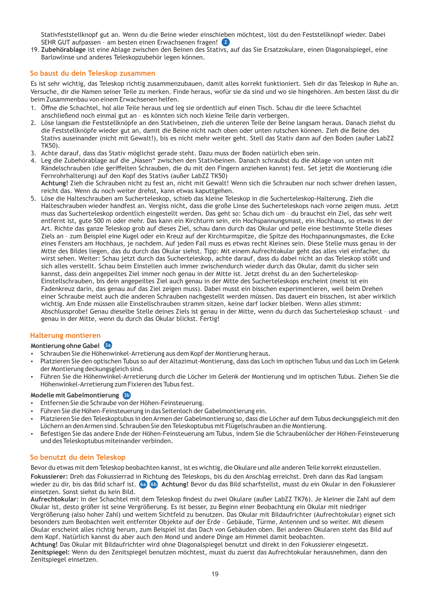Stativfeststellknopf gut an. Wenn du die Beine wieder einschieben möchtest, löst du den Feststellknopf wieder. Dabei SEHR GUT aufpassen – am besten einen Erwachsenen fragen! **2**

19. **Zubehörablage** ist eine Ablage zwischen den Beinen des Stativs, auf das Sie Ersatzokulare, einen Diagonalspiegel, eine Barlowlinse und anderes Teleskopzubehör legen können.

### **So baust du dein Teleskop zusammen**

Es ist sehr wichtig, das Teleskop richtig zusammenzubauen, damit alles korrekt funktioniert. Sieh dir das Teleskop in Ruhe an. Versuche, dir die Namen seiner Teile zu merken. Finde heraus, wofür sie da sind und wo sie hingehören. Am besten lässt du dir beim Zusammenbau von einem Erwachsenen helfen.

- 1. Offne die Schachtel, hol alle Teile heraus und leg sie ordentlich auf einen Tisch. Schau dir die leere Schachtel anschließend noch einmal gut an – es könnten sich noch kleine Teile darin verbergen.
- Löse langsam die Feststellknöpfe an den Stativbeinen, zieh die unteren Teile der Beine langsam heraus. Danach ziehst du 2. die Feststellknöpfe wieder gut an, damit die Beine nicht nach oben oder unten rutschen können. Zieh die Beine des Stativs auseinander (nicht mit Gewalt!), bis es nicht mehr weiter geht. Stell das Stativ dann auf den Boden (außer LabZZ TK50).
- 3. Achte darauf, dass das Stativ möglichst gerade steht. Dazu muss der Boden natürlich eben sein.
- 4. Leg die Zubehörablage auf die "Nasen" zwischen den Stativbeinen. Danach schraubst du die Ablage von unten mit Rändelschrauben (die geriffelten Schrauben, die du mit den Fingern anziehen kannst) fest. Set jetzt die Montierung (die Fernrohrhalterung) auf den Kopf des Stativs (außer LabZZ TK50) **Achtung!** Zieh die Schrauben nicht zu fest an, nicht mit Gewalt! Wenn sich die Schrauben nur noch schwer drehen lassen, reicht das. Wenn du noch weiter drehst, kann etwas kaputtgehen.
- Löse die Halteschrauben am Sucherteleskop, schieb das kleine Teleskop in die Sucherteleskop-Halterung. Zieh die 5. Halteschrauben wieder handfest an. Vergiss nicht, dass die große Linse des Sucherteleskops nach vorne zeigen muss. Jetzt muss das Sucherteleskop ordentlich eingestellt werden. Das geht so: Schau dich um – du brauchst ein Ziel, das sehr weit entfernt ist, gute 500 m oder mehr. Das kann ein Kirchturm sein, ein Hochspannungsmast, ein Hochhaus, so etwas in der Art. Richte das ganze Teleskop grob auf dieses Ziel, schau dann durch das Okular und peile eine bestimmte Stelle dieses Ziels an – zum Beispiel eine Kugel oder ein Kreuz auf der Kirchturmspitze, die Spitze des Hochspannungsmastes, die Ecke eines Fensters am Hochhaus, je nachdem. Auf jeden Fall muss es etwas recht Kleines sein. Diese Stelle muss genau in der Mitte des Bildes liegen, das du durch das Okular siehst. Tipp: Mit einem Aufrechtokular geht das alles viel einfacher, du wirst sehen. Weiter: Schau jetzt durch das Sucherteleskop, achte darauf, dass du dabei nicht an das Teleskop stößt und sich alles verstellt. Schau beim Einstellen auch immer zwischendurch wieder durch das Okular, damit du sicher sein kannst, dass dein angepeiltes Ziel immer noch genau in der Mitte ist. Jetzt drehst du an den Sucherteleskop-Einstellschrauben, bis dein angepeiltes Ziel auch genau in der Mitte des Sucherteleskops erscheint (meist ist ein Fadenkreuz darin, das genau auf das Ziel zeigen muss). Dabei musst ein bisschen experimentieren, weil beim Drehen einer Schraube meist auch die anderen Schrauben nachgestellt werden müssen. Das dauert ein bisschen, ist aber wirklich wichtig. Am Ende müssen alle Einstellschrauben stramm sitzen, keine darf locker bleiben. Wenn alles stimmt: Abschlussprobe! Genau dieselbe Stelle deines Ziels ist genau in der Mitte, wenn du durch das Sucherteleskop schaust – und genau in der Mitte, wenn du durch das Okular blickst. Fertig!

### **Halterung montieren**

### **Montierung ohne Gabel 3a**

- џ Schrauben Sie die Höhenwinkel-Arretierung aus dem Kopf der Montierung heraus.
- џ Platzieren Sie den optischen Tubus so auf der Altazimut-Montierung, dass das Loch im optischen Tubus und das Loch im Gelenk der Montierung deckungsgleich sind.
- џ Führen Sie die Höhenwinkel-Arretierung durch die Löcher im Gelenk der Montierung und im optischen Tubus. Ziehen Sie die Höhenwinkel-Arretierung zum Fixieren des Tubus fest.

### **Modelle mit Gabelmontierung 3b**

- џ Entfernen Sie die Schraube von der Höhen-Feinsteuerung.
- џ Führen Sie die Höhen-Feinsteuerung in das Seitenloch der Gabelmontierung ein.
- џ Platzieren Sie den Teleskoptubus in den Armen der Gabelmontierung so, dass die Löcher auf dem Tubus deckungsgleich mit den Löchern an den Armen sind. Schrauben Sie den Teleskoptubus mit Flügelschrauben an die Montierung.
- џ Befestigen Sie das andere Ende der Höhen-Feinsteuerung am Tubus, indem Sie die Schraubenlöcher der Höhen-Feinsteuerung und des Teleskoptubus miteinander verbinden.

### **So benutzt du dein Teleskop**

Bevor du etwas mit dem Teleskop beobachten kannst, ist es wichtig, die Okulare und alle anderen Teile korrekt einzustellen. **Fokussierer:** Dreh das Fokussierrad in Richtung des Teleskops, bis du den Anschlag erreichst. Dreh dann das Rad langsam wieder zu dir, bis das Bild scharf ist. **Achtung!** Bevor du das Bild scharfstellst, musst du ein Okular in den Fokussierer **6a 6b** einsetzen. Sonst siehst du kein Bild.

**Aufrechtokular:** In der Schachtel mit dem Teleskop findest du zwei Okulare (außer LabZZ TK76). Je kleiner die Zahl auf dem Okular ist, desto größer ist seine Vergrößerung. Es ist besser, zu Beginn einer Beobachtung ein Okular mit niedriger Vergrößerung (also hoher Zahl) und weitem Sichtfeld zu benutzen. Das Okular mit Bildaufrichter (Aufrechtokular) eignet sich besonders zum Beobachten weit entfernter Objekte auf der Erde – Gebäude, Türme, Antennen und so weiter. Mit diesem Okular erscheint alles richtig herum, zum Beispiel ist das Dach von Gebäuden oben. Bei anderen Okularen steht das Bild auf dem Kopf. Natürlich kannst du aber auch den Mond und andere Dinge am Himmel damit beobachten.

**Achtung!** Das Okular mit Bildaufrichter wird ohne Diagonalspiegel benutzt und direkt in den Fokussierer eingesetzt. **Zenitspiegel:** Wenn du den Zenitspiegel benutzen möchtest, musst du zuerst das Aufrechtokular herausnehmen, dann den Zenitspiegel einsetzen.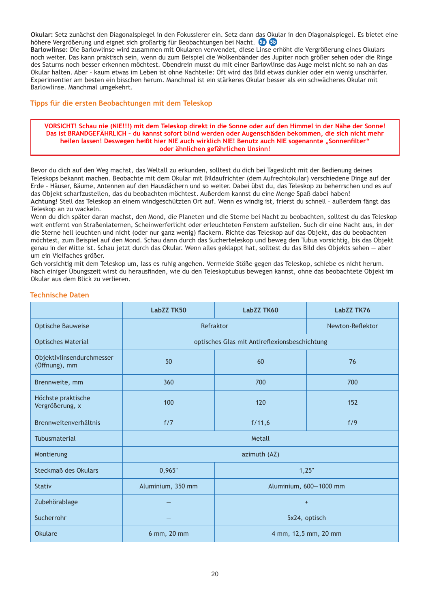**Okular:** Setz zunächst den Diagonalspiegel in den Fokussierer ein. Setz dann das Okular in den Diagonalspiegel. Es bietet eine höhere Vergrößerung und eignet sich großartig für Beobachtungen bei Nacht. **5a 5b**

**Barlowlinse:** Die Barlowlinse wird zusammen mit Okularen verwendet, diese Linse erhöht die Vergrößerung eines Okulars noch weiter. Das kann praktisch sein, wenn du zum Beispiel die Wolkenbänder des Jupiter noch größer sehen oder die Ringe des Saturns noch besser erkennen möchtest. Obendrein musst du mit einer Barlowlinse das Auge meist nicht so nah an das Okular halten. Aber – kaum etwas im Leben ist ohne Nachteile: Oft wird das Bild etwas dunkler oder ein wenig unschärfer. Experimentier am besten ein bisschen herum. Manchmal ist ein stärkeres Okular besser als ein schwächeres Okular mit Barlowlinse. Manchmal umgekehrt.

### **Tipps für die ersten Beobachtungen mit dem Teleskop**

### **VORSICHT! Schau nie (NIE!!!) mit dem Teleskop direkt in die Sonne oder auf den Himmel in der Nähe der Sonne! Das ist BRANDGEFÄHRLICH – du kannst sofort blind werden oder Augenschäden bekommen, die sich nicht mehr**  heilen lassen! Deswegen heißt hier NIE auch wirklich NIE! Benutz auch NIE sogenannte "Sonnenfilter" **oder ähnlichen gefährlichen Unsinn!**

Bevor du dich auf den Weg machst, das Weltall zu erkunden, solltest du dich bei Tageslicht mit der Bedienung deines Teleskops bekannt machen. Beobachte mit dem Okular mit Bildaufrichter (dem Aufrechtokular) verschiedene Dinge auf der Erde – Häuser, Bäume, Antennen auf den Hausdächern und so weiter. Dabei übst du, das Teleskop zu beherrschen und es auf das Objekt scharfzustellen, das du beobachten möchtest. Außerdem kannst du eine Menge Spaß dabei haben! **Achtung**! Stell das Teleskop an einem windgeschützten Ort auf. Wenn es windig ist, frierst du schnell – außerdem fängt das Teleskop an zu wackeln.

Wenn du dich später daran machst, den Mond, die Planeten und die Sterne bei Nacht zu beobachten, solltest du das Teleskop weit entfernt von Straßenlaternen, Scheinwerferlicht oder erleuchteten Fenstern aufstellen. Such dir eine Nacht aus, in der die Sterne hell leuchten und nicht (oder nur ganz wenig) flackern. Richte das Teleskop auf das Objekt, das du beobachten möchtest, zum Beispiel auf den Mond. Schau dann durch das Sucherteleskop und beweg den Tubus vorsichtig, bis das Objekt genau in der Mitte ist. Schau jetzt durch das Okular. Wenn alles geklappt hat, solltest du das Bild des Objekts sehen — aber um ein Vielfaches größer.

Geh vorsichtig mit dem Teleskop um, lass es ruhig angehen. Vermeide Stöße gegen das Teleskop, schiebe es nicht herum. Nach einiger Übungszeit wirst du herausfinden, wie du den Teleskoptubus bewegen kannst, ohne das beobachtete Objekt im Okular aus dem Blick zu verlieren.

|                                            | LabZZ TK50        | LabZZ TK60                                    | LabZZ TK76       |
|--------------------------------------------|-------------------|-----------------------------------------------|------------------|
| <b>Optische Bauweise</b>                   | Refraktor         |                                               | Newton-Reflektor |
| <b>Optisches Material</b>                  |                   | optisches Glas mit Antireflexionsbeschichtung |                  |
| Objektivlinsendurchmesser<br>(Öffnung), mm | 50                | 60                                            | 76               |
| Brennweite, mm                             | 360               | 700                                           | 700              |
| Höchste praktische<br>Vergrößerung, x      | 100               | 120                                           | 152              |
| Brennweitenverhältnis                      | f/7               | f/11,6                                        | f/9              |
| Tubusmaterial                              | Metall            |                                               |                  |
| Montierung                                 | azimuth (AZ)      |                                               |                  |
| Steckmaß des Okulars                       | 0,965"            | 1,25"                                         |                  |
| <b>Stativ</b>                              | Aluminium, 350 mm | Aluminium, 600-1000 mm                        |                  |
| Zubehörablage                              |                   | $+$                                           |                  |
| Sucherrohr                                 |                   | 5x24, optisch                                 |                  |
| <b>Okulare</b>                             | 6 mm, 20 mm       | 4 mm, 12,5 mm, 20 mm                          |                  |

### **Technische Daten**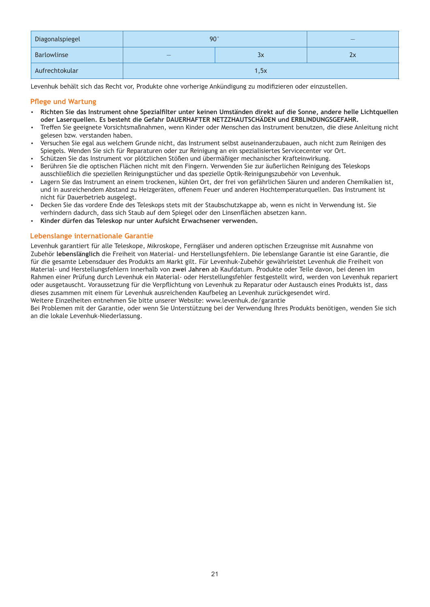| Diagonalspiegel | $90^\circ$ |  | $\qquad \qquad -$ |
|-----------------|------------|--|-------------------|
| Barlowlinse     | 3x<br>$-$  |  | ŻХ                |
| Aufrechtokular  | 1,5x       |  |                   |

Levenhuk behält sich das Recht vor, Produkte ohne vorherige Ankündigung zu modifizieren oder einzustellen.

### **Pflege und Wartung**

- џ **Richten Sie das Instrument ohne Spezialfilter unter keinen Umständen direkt auf die Sonne, andere helle Lichtquellen oder Laserquellen. Es besteht die Gefahr DAUERHAFTER NETZZHAUTSCHÄDEN und ERBLINDUNGSGEFAHR.**
- џ Treffen Sie geeignete Vorsichtsmaßnahmen, wenn Kinder oder Menschen das Instrument benutzen, die diese Anleitung nicht gelesen bzw. verstanden haben.
- џ Versuchen Sie egal aus welchem Grunde nicht, das Instrument selbst auseinanderzubauen, auch nicht zum Reinigen des Spiegels. Wenden Sie sich für Reparaturen oder zur Reinigung an ein spezialisiertes Servicecenter vor Ort.
- џ Schützen Sie das Instrument vor plötzlichen Stößen und übermäßiger mechanischer Krafteinwirkung.
- џ Berühren Sie die optischen Flächen nicht mit den Fingern. Verwenden Sie zur äußerlichen Reinigung des Teleskops ausschließlich die speziellen Reinigungstücher und das spezielle Optik-Reinigungszubehör von Levenhuk.
- Lagern Sie das Instrument an einem trockenen, kühlen Ort, der frei von gefährlichen Säuren und anderen Chemikalien ist, und in ausreichendem Abstand zu Heizgeräten, offenem Feuer und anderen Hochtemperaturquellen. Das Instrument ist nicht für Dauerbetrieb ausgelegt.
- џ Decken Sie das vordere Ende des Teleskops stets mit der Staubschutzkappe ab, wenn es nicht in Verwendung ist. Sie verhindern dadurch, dass sich Staub auf dem Spiegel oder den Linsenflächen absetzen kann.
- џ **Kinder dürfen das Teleskop nur unter Aufsicht Erwachsener verwenden.**

### **Lebenslange internationale Garantie**

Levenhuk garantiert für alle Teleskope, Mikroskope, Ferngläser und anderen optischen Erzeugnisse mit Ausnahme von Zubehör **lebenslänglich** die Freiheit von Material- und Herstellungsfehlern. Die lebenslange Garantie ist eine Garantie, die für die gesamte Lebensdauer des Produkts am Markt gilt. Für Levenhuk-Zubehör gewährleistet Levenhuk die Freiheit von Material- und Herstellungsfehlern innerhalb von **zwei Jahren** ab Kaufdatum. Produkte oder Teile davon, bei denen im Rahmen einer Prüfung durch Levenhuk ein Material- oder Herstellungsfehler festgestellt wird, werden von Levenhuk repariert oder ausgetauscht. Voraussetzung für die Verpflichtung von Levenhuk zu Reparatur oder Austausch eines Produkts ist, dass dieses zusammen mit einem für Levenhuk ausreichenden Kaufbeleg an Levenhuk zurückgesendet wird. Weitere Einzelheiten entnehmen Sie bitte unserer Website: www.levenhuk.de/garantie

Bei Problemen mit der Garantie, oder wenn Sie Unterstützung bei der Verwendung Ihres Produkts benötigen, wenden Sie sich an die lokale Levenhuk-Niederlassung.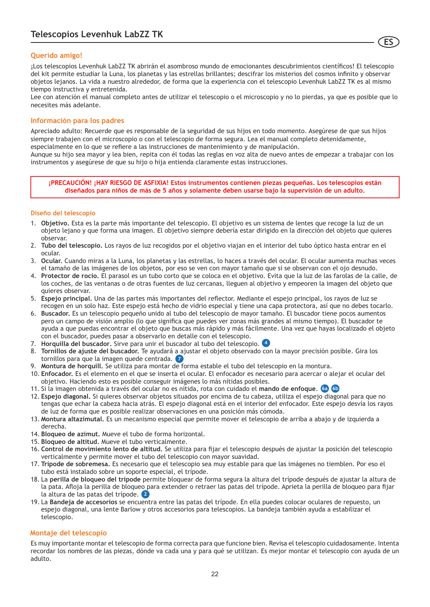### **Querido amigo!**

¡Los telescopios Levenhuk LabZZ TK abrirán el asombroso mundo de emocionantes descubrimientos científicos! El telescopio del kit permite estudiar la Luna, los planetas y las estrellas brillantes; descifrar los misterios del cosmos infinito y observar objetos lejanos. La vida a nuestro alrededor, de forma que la experiencia con el telescopio Levenhuk LabZZ TK es al mismo tiempo instructiva y entretenida.

**ES**

Lee con atención el manual completo antes de utilizar el telescopio o el microscopio y no lo pierdas, ya que es posible que lo necesites más adelante.

### **Información para los padres**

Apreciado adulto: Recuerde que es responsable de la seguridad de sus hijos en todo momento. Asegúrese de que sus hijos siempre trabajen con el microscopio o con el telescopio de forma segura. Lea el manual completo detenidamente, especialmente en lo que se refiere a las instrucciones de mantenimiento y de manipulación.

Aunque su hijo sea mayor y lea bien, repita con él todas las reglas en voz alta de nuevo antes de empezar a trabajar con los instrumentos y asegúrese de que su hijo o hija entienda claramente estas instrucciones.

**¡PRECAUCIÓN! ¡HAY RIESGO DE ASFIXIA! Estos instrumentos contienen piezas pequeñas. Los telescopios están diseñados para niños de más de 5 años y solamente deben usarse bajo la supervisión de un adulto.**

### **Diseño del telescopio**

- 1. **Objetivo.** Esta es la parte más importante del telescopio. El objetivo es un sistema de lentes que recoge la luz de un objeto lejano y que forma una imagen. El objetivo siempre debería estar dirigido en la dirección del objeto que quieres observar.
- 2. **Tubo del telescopio.** Los rayos de luz recogidos por el objetivo viajan en el interior del tubo óptico hasta entrar en el ocular.
- 3. **Ocular.** Cuando miras a la Luna, los planetas y las estrellas, lo haces a través del ocular. El ocular aumenta muchas veces el tamaño de las imágenes de los objetos, por eso se ven con mayor tamaño que si se observan con el ojo desnudo.
- 4. **Protector de rocío.** El parasol es un tubo corto que se coloca en el objetivo. Evita que la luz de las farolas de la calle, de los coches, de las ventanas o de otras fuentes de luz cercanas, lleguen al objetivo y empeoren la imagen del objeto que quieres observar.
- 5. **Espejo principal.** Una de las partes más importantes del reflector. Mediante el espejo principal, los rayos de luz se recogen en un solo haz. Este espejo está hecho de vidrio especial y tiene una capa protectora, así que no debes tocarlo.
- 6. **Buscador.** Es un telescopio pequeño unido al tubo del telescopio de mayor tamaño. El buscador tiene pocos aumentos pero un campo de visión amplio (lo que significa que puedes ver zonas más grandes al mismo tiempo). El buscador te ayuda a que puedas encontrar el objeto que buscas más rápido y más fácilmente. Una vez que hayas localizado el objeto con el buscador, puedes pasar a observarlo en detalle con el telescopio.
- 7. **Horquilla del buscador.** Sirve para unir el buscador al tubo del telescopio. **4**
- 8. **Tornillos de ajuste del buscador.** Te ayudará a ajustar el objeto observado con la mayor precisión posible. Gira los tornillos para que la imagen quede centrada. **7**
- 9. **Montura de horquill.** Se utiliza para montar de forma estable el tubo del telescopio en la montura.
- 10. **Enfocador.** Es el elemento en el que se inserta el ocular. El enfocador es necesario para acercar o alejar el ocular del objetivo. Haciendo esto es posible conseguir imágenes lo más nítidas posibles.
- 11. Si la imagen obtenida a través del ocular no es nítida, rota con cuidado el **mando de enfoque**. **6a 6b**
- 12. **Espejo diagonal.** Si quieres observar objetos situados por encima de tu cabeza, utiliza el espejo diagonal para que no tengas que echar la cabeza hacia atrás. El espejo diagonal está en el interior del enfocador. Este espejo desvía los rayos de luz de forma que es posible realizar observaciones en una posición más cómoda.
- 13. **Montura altazimutal.** Es un mecanismo especial que permite mover el telescopio de arriba a abajo y de izquierda a derecha.
- 14. **Bloqueo de azimut.** Mueve el tubo de forma horizontal.
- 15. **Bloqueo de altitud.** Mueve el tubo verticalmente.
- 16. **Control de movimiento lento de altitud.** Se utiliza para fijar el telescopio después de ajustar la posición del telescopio verticalmente y permite mover el tubo del telescopio con mayor suavidad.
- 17. **Trípode de sobremesa.** Es necesario que el telescopio sea muy estable para que las imágenes no tiemblen. Por eso el tubo está instalado sobre un soporte especial, el trípode.
- 18. La **perilla de bloqueo del trípode** permite bloquear de forma segura la altura del trípode después de ajustar la altura de la pata. Afloja la perilla de bloqueo para extender o retraer las patas del trípode. Aprieta la perilla de bloqueo para fijar la altura de las patas del trípode. **2**
- 19. La **Bandeja de accesorios** se encuentra entre las patas del trípode. En ella puedes colocar oculares de repuesto, un espejo diagonal, una lente Barlow y otros accesorios para telescopios. La bandeja también ayuda a estabilizar el telescopio.

### **Montaje del telescopio**

Es muy importante montar el telescopio de forma correcta para que funcione bien. Revisa el telescopio cuidadosamente. Intenta recordar los nombres de las piezas, dónde va cada una y para qué se utilizan. Es mejor montar el telescopio con ayuda de un adulto.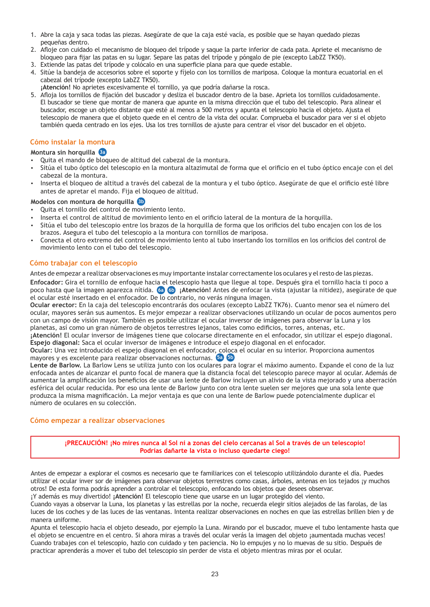- 1. Abre la caja y saca todas las piezas. Asegúrate de que la caja esté vacía, es posible que se hayan quedado piezas pequeñas dentro.
- 2. Afloje con cuidado el mecanismo de bloqueo del trípode y saque la parte inferior de cada pata. Apriete el mecanismo de bloqueo para fijar las patas en su lugar. Separe las patas del trípode y póngalo de pie (excepto LabZZ TK50).
- Extiende las patas del trípode y colócalo en una superficie plana para que quede estable. 3.
- 4. Sitúe la bandeja de accesorios sobre el soporte y fíjelo con los tornillos de mariposa. Coloque la montura ecuatorial en el cabezal del trípode (excepto LabZZ TK50).
- **¡Atención!** No aprietes excesivamente el tornillo, ya que podría dañarse la rosca.
- 5. Afloja los tornillos de fijación del buscador y desliza el buscador dentro de la base. Aprieta los tornillos cuidadosamente. El buscador se tiene que montar de manera que apunte en la misma dirección que el tubo del telescopio. Para alinear el buscador, escoge un objeto distante que esté al menos a 500 metros y apunta el telescopio hacia el objeto. Ajusta el telescopio de manera que el objeto quede en el centro de la vista del ocular. Comprueba el buscador para ver si el objeto también queda centrado en los ejes. Usa los tres tornillos de ajuste para centrar el visor del buscador en el objeto.

### **Cómo instalar la montura**

### **Montura sin horquilla 3a**

- џ Quita el mando de bloqueo de altitud del cabezal de la montura.
- џ Sitúa el tubo óptico del telescopio en la montura altazimutal de forma que el orificio en el tubo óptico encaje con el del cabezal de la montura.
- џ Inserta el bloqueo de altitud a través del cabezal de la montura y el tubo óptico. Asegúrate de que el orificio esté libre antes de apretar el mando. Fija el bloqueo de altitud.

### **Modelos con montura de horquilla 3b**

- Quita el tornillo del control de movimiento lento.
- Inserta el control de altitud de movimiento lento en el orificio lateral de la montura de la horquilla.
- џ Sitúa el tubo del telescopio entre los brazos de la horquilla de forma que los orificios del tubo encajen con los de los brazos. Asegura el tubo del telescopio a la montura con tornillos de mariposa.
- џ Conecta el otro extremo del control de movimiento lento al tubo insertando los tornillos en los orificios del control de movimiento lento con el tubo del telescopio.

### **Cómo trabajar con el telescopio**

Antes de empezar a realizar observaciones es muy importante instalar correctamente los oculares y el resto de las piezas.

**Enfocador:** Gira el tornillo de enfoque hacia el telescopio hasta que llegue al tope. Después gira el tornillo hacia ti poco a poco hasta que la imagen aparezca nítida. **¡Atención!** Antes de enfocar la vista (ajustar la nitidez), asegúrate de que **6a 6b** el ocular esté insertado en el enfocador. De lo contrario, no verás ninguna imagen.

**Ocular erector:** En la caja del telescopio encontrarás dos oculares (excepto LabZZ TK76). Cuanto menor sea el número del ocular, mayores serán sus aumentos. Es mejor empezar a realizar observaciones utilizando un ocular de pocos aumentos pero con un campo de visión mayor. También es posible utilizar el ocular inversor de imágenes para observar la Luna y los planetas, así como un gran número de objetos terrestres lejanos, tales como edificios, torres, antenas, etc.

**¡Atención!** El ocular inversor de imágenes tiene que colocarse directamente en el enfocador, sin utilizar el espejo diagonal. **Espejo diagonal:** Saca el ocular inversor de imágenes e introduce el espejo diagonal en el enfocador.

**Ocular:** Una vez introducido el espejo diagonal en el enfocador, coloca el ocular en su interior. Proporciona aumentos mayores y es excelente para realizar observaciones nocturnas. **5a 5b**

**Lente de Barlow.** La Barlow Lens se utiliza junto con los oculares para lograr el máximo aumento. Expande el cono de la luz enfocada antes de alcanzar el punto focal de manera que la distancia focal del telescopio parece mayor al ocular. Además de aumentar la amplificación los beneficios de usar una lente de Barlow incluyen un alivio de la vista mejorado y una aberración esférica del ocular reducida. Por eso una lente de Barlow junto con otra lente suelen ser mejores que una sola lente que produzca la misma magnificación. La mejor ventaja es que con una lente de Barlow puede potencialmente duplicar el número de oculares en su colección.

### **Cómo empezar a realizar observaciones**

**¡PRECAUCIÓN! ¡No mires nunca al Sol ni a zonas del cielo cercanas al Sol a través de un telescopio! Podrías dañarte la vista o incluso quedarte ciego!**

Antes de empezar a explorar el cosmos es necesario que te familiarices con el telescopio utilizándolo durante el día. Puedes utilizar el ocular inver sor de imágenes para observar objetos terrestres como casas, árboles, antenas en los tejados ¡y muchos otros! De esta forma podrás aprender a controlar el telescopio, enfocando los objetos que desees observar.

¡Y además es muy divertido! **¡Atención!** El telescopio tiene que usarse en un lugar protegido del viento. Cuando vayas a observar la Luna, los planetas y las estrellas por la noche, recuerda elegir sitios alejados de las farolas, de las luces de los coches y de las luces de las ventanas. Intenta realizar observaciones en noches en que las estrellas brillen bien y de manera uniforme.

Apunta el telescopio hacia el objeto deseado, por ejemplo la Luna. Mirando por el buscador, mueve el tubo lentamente hasta que el objeto se encuentre en el centro. Si ahora miras a través del ocular verás la imagen del objeto ¡aumentada muchas veces! Cuando trabajes con el telescopio, hazlo con cuidado y ten paciencia. No lo empujes y no lo muevas de su sitio. Después de practicar aprenderás a mover el tubo del telescopio sin perder de vista el objeto mientras miras por el ocular.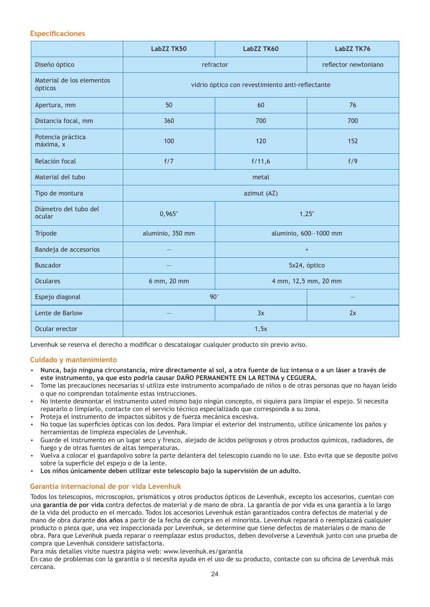### **Especificaciones**

|                                      | LabZZ TK50       | LabZZ TK60                                       | LabZZ TK76           |
|--------------------------------------|------------------|--------------------------------------------------|----------------------|
| Diseño óptico                        | refractor        |                                                  | reflector newtoniano |
| Material de los elementos<br>ópticos |                  | vidrio óptico con revestimiento anti-reflectante |                      |
| Apertura, mm                         | 50               | 60                                               | 76                   |
| Distancia focal, mm                  | 360              | 700                                              | 700                  |
| Potencia práctica<br>máxima, x       | 100              | 120                                              | 152                  |
| Relación focal                       | f/7              | f/11,6                                           | f/9                  |
| Material del tubo                    | metal            |                                                  |                      |
| Tipo de montura                      |                  | azimut (AZ)                                      |                      |
| Diámetro del tubo del<br>ocular      | 0,965"           | 1,25"                                            |                      |
| Trípode                              | aluminio, 350 mm | aluminio, 600-1000 mm                            |                      |
| Bandeja de accesorios                |                  | $\begin{array}{c} + \end{array}$                 |                      |
| <b>Buscador</b>                      |                  | 5x24, óptico                                     |                      |
| <b>Oculares</b>                      | 6 mm, 20 mm      | 4 mm, 12,5 mm, 20 mm                             |                      |
| Espejo diagonal                      | $90^\circ$       |                                                  |                      |
| Lente de Barlow                      |                  | 3x                                               | 2x                   |
| Ocular erector                       | 1,5x             |                                                  |                      |

Levenhuk se reserva el derecho a modificar o descatalogar cualquier producto sin previo aviso.

### **Cuidado y mantenimiento**

- џ **Nunca, bajo ninguna circunstancia, mire directamente al sol, a otra fuente de luz intensa o a un láser a través de este instrumento, ya que esto podría causar DAÑO PERMANENTE EN LA RETINA y CEGUERA.**
- Tome las precauciones necesarias si utiliza este instrumento acompañado de niños o de otras personas que no hayan leído o que no comprendan totalmente estas instrucciones.
- џ No intente desmontar el instrumento usted mismo bajo ningún concepto, ni siquiera para limpiar el espejo. Si necesita repararlo o limpiarlo, contacte con el servicio técnico especializado que corresponda a su zona.
- Proteja el instrumento de impactos súbitos y de fuerza mecánica excesiva.
- No toque las superficies ópticas con los dedos. Para limpiar el exterior del instrumento, utilice únicamente los paños y herramientas de limpieza especiales de Levenhuk.
- џ Guarde el instrumento en un lugar seco y fresco, alejado de ácidos peligrosos y otros productos químicos, radiadores, de fuego y de otras fuentes de altas temperaturas.
- џ Vuelva a colocar el guardapolvo sobre la parte delantera del telescopio cuando no lo use. Esto evita que se deposite polvo sobre la superficie del espejo o de la lente.
- џ **Los niños únicamente deben utilizar este telescopio bajo la supervisión de un adulto.**

### **Garantía internacional de por vida Levenhuk**

Todos los telescopios, microscopios, prismáticos y otros productos ópticos de Levenhuk, excepto los accesorios, cuentan con una **garantía de por vida** contra defectos de material y de mano de obra. La garantía de por vida es una garantía a lo largo de la vida del producto en el mercado. Todos los accesorios Levenhuk están garantizados contra defectos de material y de mano de obra durante **dos años** a partir de la fecha de compra en el minorista. Levenhuk reparará o reemplazará cualquier producto o pieza que, una vez inspeccionada por Levenhuk, se determine que tiene defectos de materiales o de mano de obra. Para que Levenhuk pueda reparar o reemplazar estos productos, deben devolverse a Levenhuk junto con una prueba de compra que Levenhuk considere satisfactoria.

Para más detalles visite nuestra página web: www.levenhuk.es/garantia

En caso de problemas con la garantía o si necesita ayuda en el uso de su producto, contacte con su oficina de Levenhuk más cercana.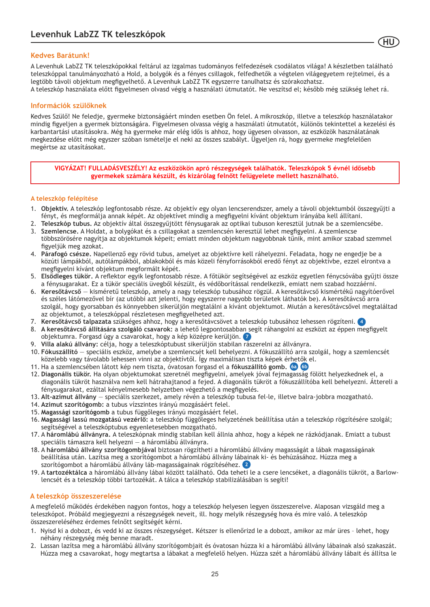### **Kedves Barátunk!**

A Levenhuk LabZZ TK teleszkópokkal feltárul az izgalmas tudományos felfedezések csodálatos világa! A készletben található teleszkóppal tanulmányozható a Hold, a bolygók és a fényes csillagok, felfedhetők a végtelen világegyetem rejtelmei, és a legtöbb távoli objektum megfigyelhető. A Levenhuk LabZZ TK egyszerre tanulhatsz és szórakozhatsz. A teleszkóp használata előtt figyelmesen olvasd végig a használati útmutatót. Ne veszítsd el; később még szükség lehet rá.

**HU**

### **Információk szülőknek**

Kedves Szülő! Ne feledje, gyermeke biztonságáért minden esetben Ön felel. A mikroszkóp, illetve a teleszkóp használatakor mindig figyeljen a gyermek biztonságára. Figyelmesen olvassa végig a használati útmutatót, különös tekintettel a kezelési és karbantartási utasításokra. Még ha gyermeke már elég idős is ahhoz, hogy ügyesen olvasson, az eszközök használatának megkezdése előtt még egyszer szóban ismételje el neki az összes szabályt. Ügyeljen rá, hogy gyermeke megfelelően megértse az utasításokat.

**VIGYÁZAT! FULLADÁSVESZÉLY! Az eszközökön apró részegységek találhatók. Teleszkópok 5 évnél idősebb gyermekek számára készült, és kizárólag felnőtt felügyelete mellett használható.**

### **A teleszkóp felépítése**

- 1. **Objektív.** A teleszkóp legfontosabb része. Az objektív egy olyan lencserendszer, amely a távoli objektumból összegyűjti a fényt, és megformálja annak képét. Az objektívet mindig a megfigyelni kívánt objektum irányába kell állítani.
- 2. **Teleszkóp tubus.** Az objektív által összegyűjtött fénysugarak az optikai tubuson keresztül jutnak be a szemlencsébe.
- 3. **Szemlencse.** A Holdat, a bolygókat és a csillagokat a szemlencsén keresztül lehet megfigyelni. A szemlencse többszörösére nagyítja az objektumok képeit; emiatt minden objektum nagyobbnak tűnik, mint amikor szabad szemmel figyeljük meg azokat.
- 4. **Párafogó csésze.** Napellenző egy rövid tubus, amelyet az objektívre kell ráhelyezni. Feladata, hogy ne engedje be a közúti lámpákból, autólámpákból, ablakokból és más közeli fényforrásokból eredő fényt az objektívbe, ezzel elrontva a megfigyelni kívánt objektum megformált képét.
- 5. **Elsődleges tükör.** A reflektor egyik legfontosabb része. A főtükör segítségével az eszköz egyetlen fénycsóvába gyűjti össze a fénysugarakat. Ez a tükör speciális üvegből készült, és védőborítással rendelkezik, emiatt nem szabad hozzáérni.
- 6. **Keresőtávcső** kisméretű teleszkóp, amely a nagy teleszkóp tubusához rögzül. A keresőtávcső kismértékű nagyítóerővel és széles látómezővel bír (az utóbbi azt jelenti, hogy egyszerre nagyobb területek láthatók be). A keresőtávcső arra szolgál, hogy gyorsabban és könnyebben sikerüljön megtalálni a kívánt objektumot. Miután a keresőtávcsővel megtaláltad az objektumot, a teleszkóppal részletesen megfigyelheted azt.
- 7. **Keresőtávcső talpazata** szükséges ahhoz, hogy a keresőtávcsövet a teleszkóp tubusához lehessen rögzíteni. **4**
- 8. **A keresőtávcső állítására szolgáló csavarok:** a lehető legpontosabban segít ráhangolni az eszközt az éppen megfigyelt objektumra. Forgasd úgy a csavarokat, hogy a kép középre kerüljön. **7**
- 9. **Villa alakú állvány:** célja, hogy a teleszkóptubust sikerüljön stabilan rászerelni az állványra.
- 10. **Fókuszállító** speciális eszköz, amelybe a szemlencsét kell behelyezni. A fókuszállító arra szolgál, hogy a szemlencsét közelebb vagy távolabb lehessen vinni az objektívtől. Így maximálisan tiszta képek érhetők el.
- 11. Ha a szemlencsében látott kép nem tiszta, óvatosan forgasd el a **fókuszállító gomb. 6a 6b**
- 12. **Diagonális tükör.** Ha olyan objektumokat szeretnél megfigyelni, amelyek jóval fejmagasság fölött helyezkednek el, a diagonális tükröt használva nem kell hátrahajtanod a fejed. A diagonális tükröt a fókuszállítóba kell behelyezni. Áttereli a fénysugarakat, ezáltal kényelmesebb helyzetben végezhető a megfigyelés.
- 13. **Alt-azimut állvány** speciális szerkezet, amely révén a teleszkóp tubusa fel-le, illetve balra-jobbra mozgatható.
- 14. **Azimut szorítógomb:** a tubus vízszintes irányú mozgásáért felel.
- 15. **Magassági szorítógomb** a tubus függőleges irányú mozgásáért felel.
- 16. **Magassági lassú mozgatású vezérlő:** a teleszkóp függőleges helyzetének beállítása után a teleszkóp rögzítésére szolgál; segítségével a teleszkóptubus egyenletesebben mozgatható.
- 17. A **háromlábú állványra.** A teleszkópnak mindig stabilan kell állnia ahhoz, hogy a képek ne rázkódjanak. Emiatt a tubust speciális támaszra kell helyezni — a háromlábú állványra.
- 18. A **háromlábú állvány szorítógombjával** biztosan rögzítheti a háromlábú állvány magasságát a lábak magasságának beállítása után. Lazítsa meg a szorítógombot a háromlábú állvány lábainak ki- és behúzásához. Húzza meg a szorítógombot a háromlábú állvány láb-magasságainak rögzítéséhez. **2**
- 19. A **tartozéktálca** a háromlábú állvány lábai között található. Oda teheti le a csere lencséket, a diagonális tükröt, a Barlowlencsét és a teleszkóp többi tartozékát. A tálca a teleszkóp stabilizálásában is segíti!

### **A teleszkóp összeszerelése**

A megfelelő működés érdekében nagyon fontos, hogy a teleszkóp helyesen legyen összeszerelve. Alaposan vizsgáld meg a teleszkópot. Próbáld megjegyezni a részegységek neveit, ill. hogy melyik részegység hova és mire való. A teleszkóp összeszereléséhez érdemes felnőtt segítségét kérni.

- 1. Nyisd ki a dobozt, és vedd ki az összes részegységet. Kétszer is ellenőrizd le a dobozt, amikor az már üres lehet, hogy néhány részegység még benne maradt.
- Lassan lazítsa meg a háromlábú állvány szorítógombjait és óvatosan húzza ki a háromlábú állvány lábainak alsó szakaszát. 2. Húzza meg a csavarokat, hogy megtartsa a lábakat a megfelelő helyen. Húzza szét a háromlábú állvány lábait és állítsa le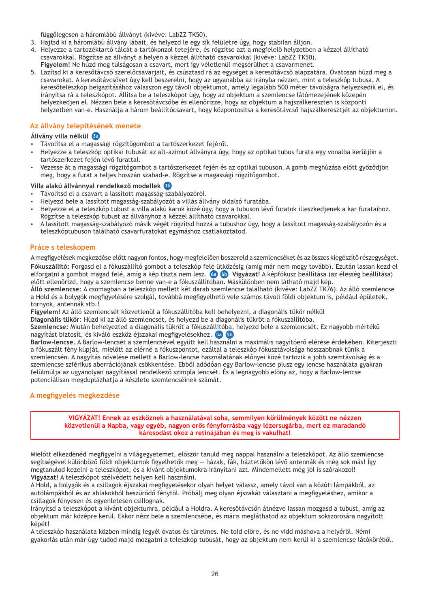függőlegesen a háromlábú állványt (kivéve: LabZZ TK50).

- 3. Hajtsd ki a háromlábú állvány lábait, és helyezd le egy sík felületre úgy, hogy stabilan álljon.
- 4. Helyezze a tartozéktartó tálcát a tartókonzol tetejére, és rögzítse azt a megfelelő helyzetben a kézzel állítható csavarokkal. Rögzítse az állványt a helyén a kézzel állítható csavarokkal (kivéve: LabZZ TK50).
- **Figyelem!** Ne húzd meg túlságosan a csavart, mert így véletlenül megsérülhet a csavarmenet.
- 5. Lazítsd ki a keresőtávcső szerelőcsavarjait, és csúsztasd rá az egységet a keresőtávcső alapzatára. Ovatosan húzd meg a csavarokat. A keresőtávcsövet úgy kell beszerelni, hogy az ugyanabba az irányba nézzen, mint a teleszkóp tubusa. A keresőteleszkóp beigazításához válasszon egy távoli objektumot, amely legalább 500 méter távolságra helyezkedik el, és irányítsa rá a teleszkópot. Állítsa be a teleszkópot úgy, hogy az objektum a szemlencse látómezejének közepén helyezkedjen el. Nézzen bele a keresőtávcsőbe és ellenőrizze, hogy az objektum a hajszálkereszten is központi helyzetben van-e. Használja a három beállítócsavart, hogy központosítsa a keresőtávcső hajszálkeresztjét az objektumon.

### **Az állvány telepítésének menete**

### **Állvány villa nélkül 3a**

- џ Távolítsa el a magassági rögzítőgombot a tartószerkezet fejéről.
- џ Helyezze a teleszkóp optikai tubusát az alt-azimut állványra úgy, hogy az optikai tubus furata egy vonalba kerüljön a tartószerkezet fején lévő furattal.
- џ Vezesse át a magassági rögzítőgombot a tartószerkezet fején és az optikai tubuson. A gomb meghúzása előtt győződjön meg, hogy a furat a teljes hosszán szabad-e. Rögzítse a magassági rögzítőgombot.

### **Villa alakú állvánnyal rendelkező modellek 3b**

- Távolítsd el a csavart a lassított magasság-szabályozóról.
- џ Helyezd bele a lassított magasság-szabályozót a villás állvány oldalsó furatába.
- џ Helyezze el a teleszkóp tubust a villa alakú karok közé úgy, hogy a tubuson lévő furatok illeszkedjenek a kar furataihoz. Rögzítse a teleszkóp tubust az állványhoz a kézzel állítható csavarokkal.
- џ A lassított magasság-szabályozó másik végét rögzítsd hozzá a tubushoz úgy, hogy a lassított magasság-szabályozón és a teleszkóptubuson található csavarfuratokat egymáshoz csatlakoztatod.

### **Práce s teleskopem**

Amegfigyelések megkezdése előtt nagyon fontos, hogy megfelelően beszereld a szemlencséket és az összes kiegészítő részegységet. **Fókuszállító:** Forgasd el a fókuszállító gombot a teleszkóp felé ütközésig (amíg már nem megy tovább). Ezután lassan kezd el elforgatni a gombot magad felé, amíg a kép tiszta nem lesz. **Vigyázat!** A képfókusz beállítása (az élesség beállítása) **6a 6b** előtt ellenőrizd, hogy a szemlencse benne van-e a fókuszállítóban. Máskülönben nem látható majd kép.

**Álló szemlencse:** A csomagban a teleszkóp mellett két darab szemlencse található (kivéve: LabZZ TK76). Az álló szemlencse a Hold és a bolygók megfigyelésére szolgál, továbbá megfigyelhető vele számos távoli földi objektum is, például épületek, tornyok, antennák stb.!

**Figyelem!** Az álló szemlencsét közvetlenül a fókuszállítóba kell behelyezni, a diagonális tükör nélkül

**Diagonális tükör:** Húzd ki az álló szemlencsét, és helyezd be a diagonális tükröt a fókuszállítóba.

**Szemlencse:** Miután behelyezted a diagonális tükröt a fókuszállítóba, helyezd bele a szemlencsét. Ez nagyobb mértékű nagyítást biztosít, és kiváló eszköz éjszakai megfigyelésekhez. **5a 5b**

**Barlow-lencse.** A Barlow-lencsét a szemlencsével együtt kell használni a maximális nagyítóerő elérése érdekében. Kiterjeszti a fókuszált fény kúpját, mielőtt az elérné a fókuszpontot, ezáltal a teleszkóp fókusztávolsága hosszabbnak tűnik a szemlencsén. A nagyítás növelése mellett a Barlow-lencse használatának előnyei közé tartozik a jobb szemtávolság és a szemlencse szférikus aberrációjának csökkentése. Ebből adódóan egy Barlow-lencse plusz egy lencse használata gyakran felülmúlja az ugyanolyan nagyítással rendelkező szimpla lencsét. És a legnagyobb előny az, hogy a Barlow-lencse potenciálisan megduplázhatja a készlete szemlencséinek számát.

### **A megfigyelés megkezdése**

**VIGYÁZAT! Ennek az eszköznek a használatával soha, semmilyen körülmények között ne nézzen közvetlenül a Napba, vagy egyéb, nagyon erős fényforrásba vagy lézersugárba, mert ez maradandó károsodást okoz a retinájában és meg is vakulhat!**

Mielőtt elkezdenéd megfigyelni a világegyetemet, először tanuld meg nappal használni a teleszkópot. Az álló szemlencse segítségével különböző földi objektumok figyelhetők meg — házak, fák, háztetőkön lévő antennák és még sok más! Így megtanulod kezelni a teleszkópot, és a kívánt objektumokra irányítani azt. Mindemellett még jól is szórakozol! **Vigyázat!** A teleszkópot szélvédett helyen kell használni.

A Hold, a bolygók és a csillagok éjszakai megfigyelésekor olyan helyet válassz, amely távol van a közúti lámpákból, az autólámpákból és az ablakokból beszűrődő fénytől. Próbálj meg olyan éjszakát választani a megfigyeléshez, amikor a csillagok fényesen és egyenletesen csillognak.

Irányítsd a teleszkópot a kívánt objektumra, például a Holdra. A keresőtávcsőn átnézve lassan mozgasd a tubust, amíg az objektum már középre kerül. Ekkor nézz bele a szemlencsébe, és máris megláthatod az objektum sokszorosára nagyított képét!

A teleszkóp használata közben mindig legyél óvatos és türelmes. Ne told előre, és ne vidd máshova a helyéről. Némi gyakorlás után már úgy tudod majd mozgatni a teleszkóp tubusát, hogy az objektum nem kerül ki a szemlencse látóköréből.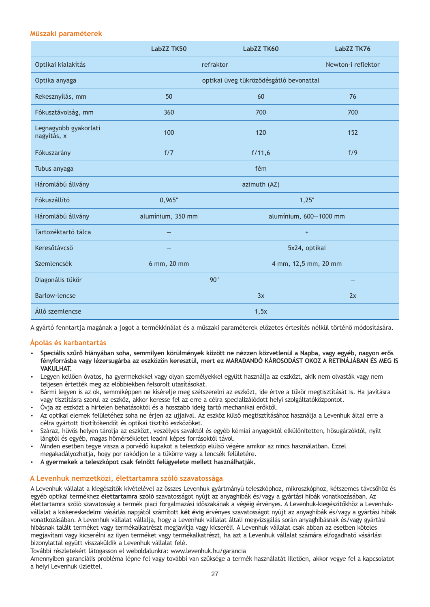### **Műszaki paraméterek**

|                                      | <b>LabZZ TK50</b>                           | LabZZ TK60                              | LabZZ TK76         |
|--------------------------------------|---------------------------------------------|-----------------------------------------|--------------------|
| Optikai kialakítás                   | refraktor                                   |                                         | Newton-i reflektor |
| Optika anyaga                        |                                             | optikai üveg tükröződésgátló bevonattal |                    |
| Rekesznyílás, mm                     | 50                                          | 60                                      | 76                 |
| Fókusztávolság, mm                   | 360                                         | 700                                     | 700                |
| Legnagyobb gyakorlati<br>nagyítás, x | 100                                         | 120                                     | 152                |
| Fókuszarány                          | f/7                                         | f/11,6                                  | f/9                |
| Tubus anyaga                         | fém                                         |                                         |                    |
| Háromlábú állvány                    | azimuth (AZ)                                |                                         |                    |
| Fókuszállító                         | 0,965"<br>1,25"                             |                                         |                    |
| Háromlábú állvány                    | alumínium, 600-1000 mm<br>alumínium, 350 mm |                                         |                    |
| Tartozéktartó tálca                  |                                             | $\ddot{}$                               |                    |
| Keresőtávcső                         |                                             |                                         | 5x24, optikai      |
| Szemlencsék                          | 4 mm, 12,5 mm, 20 mm<br>6 mm, 20 mm         |                                         |                    |
| Diagonális tükör                     | $90^{\circ}$                                |                                         |                    |
| <b>Barlow-lencse</b>                 |                                             | 3x                                      | 2x                 |
| Álló szemlencse                      |                                             | 1,5x                                    |                    |

A gyártó fenntartja magának a jogot a termékkínálat és a műszaki paraméterek előzetes értesítés nélkül történő módosítására.

### **Ápolás és karbantartás**

- џ **Speciális szűrő hiányában soha, semmilyen körülmények között ne nézzen közvetlenül a Napba, vagy egyéb, nagyon erős fényforrásba vagy lézersugárba az eszközön keresztül, mert ez MARADANDÓ KÁROSODÁST OKOZ A RETINÁJÁBAN ÉS MEG IS VAKILHAT**
- џ Legyen kellően óvatos, ha gyermekekkel vagy olyan személyekkel együtt használja az eszközt, akik nem olvasták vagy nem teljesen értették meg az előbbiekben felsorolt utasításokat.
- џ Bármi legyen is az ok, semmiképpen ne kísérelje meg szétszerelni az eszközt, ide értve a tükör megtisztítását is. Ha javításra vagy tisztításra szorul az eszköz, akkor keresse fel az erre a célra specializálódott helyi szolgáltatóközpontot.
- џ Óvja az eszközt a hirtelen behatásoktól és a hosszabb ideig tartó mechanikai erőktől.
- џ Az optikai elemek felületéhez soha ne érjen az ujjaival. Az eszköz külső megtisztításához használja a Levenhuk által erre a célra gyártott tisztítókendőt és optikai tisztító eszközöket.
- џ Száraz, hűvös helyen tárolja az eszközt, veszélyes savaktól és egyéb kémiai anyagoktól elkülönítetten, hősugárzóktól, nyílt lángtól és egyéb, magas hőmérsékletet leadni képes forrásoktól távol.
- џ Minden esetben tegye vissza a porvédő kupakot a teleszkóp elülső végére amikor az nincs használatban. Ezzel megakadályozhatja, hogy por rakódjon le a tükörre vagy a lencsék felületére.
- џ **A gyermekek a teleszkópot csak felnőtt felügyelete mellett használhatják.**

### **A Levenhuk nemzetközi, élettartamra szóló szavatossága**

A Levenhuk vállalat a kiegészítők kivételével az összes Levenhuk gyártmányú teleszkóphoz, mikroszkóphoz, kétszemes távcsőhöz és egyéb optikai termékhez **élettartamra szóló** szavatosságot nyújt az anyaghibák és/vagy a gyártási hibák vonatkozásában. Az élettartamra szóló szavatosság a termék piaci forgalmazási időszakának a végéig érvényes. A Levenhuk-kiegészítőkhöz a Levenhukvállalat a kiskereskedelmi vásárlás napjától számított **két évig** érvényes szavatosságot nyújt az anyaghibák és/vagy a gyártási hibák vonatkozásában. A Levenhuk vállalat vállalja, hogy a Levenhuk vállalat általi megvizsgálás során anyaghibásnak és/vagy gyártási hibásnak talált terméket vagy termékalkatrészt megjavítja vagy kicseréli. A Levenhuk vállalat csak abban az esetben köteles megjavítani vagy kicserélni az ilyen terméket vagy termékalkatrészt, ha azt a Levenhuk vállalat számára elfogadható vásárlási bizonylattal együtt visszaküldik a Levenhuk vállalat felé.

További részletekért látogasson el weboldalunkra: www.levenhuk.hu/garancia

Amennyiben garanciális probléma lépne fel vagy további van szüksége a termék használatát illetően, akkor vegye fel a kapcsolatot a helyi Levenhuk üzlettel.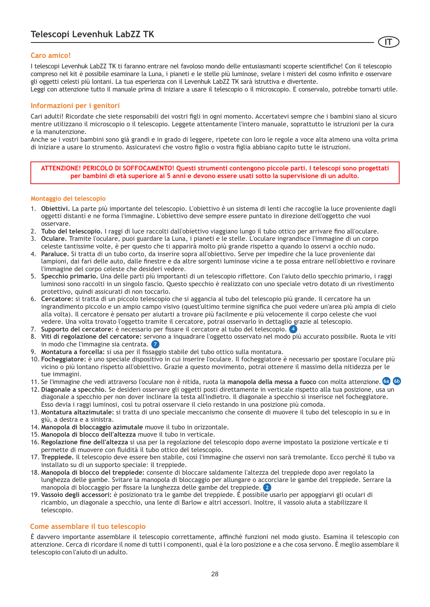### **Caro amico!**

I telescopi Levenhuk LabZZ TK ti faranno entrare nel favoloso mondo delle entusiasmanti scoperte scientifiche! Con il telescopio compreso nel kit è possibile esaminare la Luna, i pianeti e le stelle più luminose, svelare i misteri del cosmo infinito e osservare gli oggetti celesti più lontani. La tua esperienza con il Levenhuk LabZZ TK sarà istruttiva e divertente.

**IT**

Leggi con attenzione tutto il manuale prima di iniziare a usare il telescopio o il microscopio. E conservalo, potrebbe tornarti utile.

### **Informazioni per i genitori**

Cari adulti! Ricordate che siete responsabili dei vostri figli in ogni momento. Accertatevi sempre che i bambini siano al sicuro mentre utilizzano il microscopio o il telescopio. Leggete attentamente l'intero manuale, soprattutto le istruzioni per la cura e la manutenzione.

Anche se i vostri bambini sono già grandi e in grado di leggere, ripetete con loro le regole a voce alta almeno una volta prima di iniziare a usare lo strumento. Assicuratevi che vostro figlio o vostra figlia abbiano capito tutte le istruzioni.

**ATTENZIONE! PERICOLO DI SOFFOCAMENTO! Questi strumenti contengono piccole parti. I telescopi sono progettati per bambini di età superiore ai 5 anni e devono essere usati sotto la supervisione di un adulto.**

### **Montaggio del telescopio**

- 1. **Obiettivi.** La parte più importante del telescopio. L'obiettivo è un sistema di lenti che raccoglie la luce proveniente dagli oggetti distanti e ne forma l'immagine. L'obiettivo deve sempre essere puntato in direzione dell'oggetto che vuoi osservare.
- 2. **Tubo del telescopio.** I raggi di luce raccolti dall'obiettivo viaggiano lungo il tubo ottico per arrivare fino all'oculare.
- 3. **Oculare.** Tramite l'oculare, puoi guardare la Luna, i pianeti e le stelle. L'oculare ingrandisce l'immagine di un corpo celeste tantissime volte, è per questo che ti apparirà molto più grande rispetto a quando lo osservi a occhio nudo.
- 4. **Paraluce.** Si tratta di un tubo corto, da inserire sopra all'obiettivo. Serve per impedire che la luce proveniente dai lampioni, dai fari delle auto, dalle finestre e da altre sorgenti luminose vicine a te possa entrare nell'obiettivo e rovinare l'immagine del corpo celeste che desideri vedere.
- 5. **Specchio primario.** Una delle parti più importanti di un telescopio riflettore. Con l'aiuto dello specchio primario, i raggi luminosi sono raccolti in un singolo fascio. Questo specchio è realizzato con uno speciale vetro dotato di un rivestimento protettivo, quindi assicurati di non toccarlo.
- 6. **Cercatore:** si tratta di un piccolo telescopio che si aggancia al tubo del telescopio più grande. Il cercatore ha un ingrandimento piccolo e un ampio campo visivo (quest'ultimo termine significa che puoi vedere un'area più ampia di cielo alla volta). Il cercatore è pensato per aiutarti a trovare più facilmente e più velocemente il corpo celeste che vuoi vedere. Una volta trovato l'oggetto tramite il cercatore, potrai osservarlo in dettaglio grazie al telescopio.
- 7. **Supporto del cercatore:** è necessario per fissare il cercatore al tubo del telescopio. **4**
- 8. **Viti di regolazione del cercatore:** servono a inquadrare l'oggetto osservato nel modo più accurato possibile. Ruota le viti in modo che l'immagine sia centrata. **7**
- 9. **Montatura a forcella:** si usa per il fissaggio stabile del tubo ottico sulla montatura.
- 10. **Focheggiatore:** è uno speciale dispositivo in cui inserire l'oculare. Il focheggiatore è necessario per spostare l'oculare più vicino o più lontano rispetto all'obiettivo. Grazie a questo movimento, potrai ottenere il massimo della nitidezza per le tue immagini.
- 11. Se l'immagine che vedi attraverso l'oculare non è nitida, ruota la **manopola della messa a fuoco** con molta attenzione. **6a 6b**
- 12. **Diagonale a specchio.** Se desideri osservare gli oggetti posti direttamente in verticale rispetto alla tua posizione, usa un diagonale a specchio per non dover inclinare la testa all'indietro. Il diagonale a specchio si inserisce nel focheggiatore. Esso devia i raggi luminosi, così tu potrai osservare il cielo restando in una posizione più comoda.
- 13. **Montatura altazimutale:** si tratta di uno speciale meccanismo che consente di muovere il tubo del telescopio in su e in giù, a destra e a sinistra.
- 14. **Manopola di bloccaggio azimutale** muove il tubo in orizzontale.
- 15. **Manopola di blocco dell'altezza** muove il tubo in verticale.
- 16. **Regolazione fine dell'altezza** si usa per la regolazione del telescopio dopo averne impostato la posizione verticale e ti permette di muovere con fluidità il tubo ottico del telescopio.
- 17. **Treppiede.** Il telescopio deve essere ben stabile, così l'immagine che osservi non sarà tremolante. Ecco perché il tubo va installato su di un supporto speciale: il treppiede.
- 18. **Manopola di blocco del treppiede:** consente di bloccare saldamente l'altezza del treppiede dopo aver regolato la lunghezza delle gambe. Svitare la manopola di bloccaggio per allungare o accorciare le gambe del treppiede. Serrare la manopola di bloccaggio per fissare la lunghezza delle gambe del treppiede. **2**
- 19. **Vassoio degli accessori:** è posizionato tra le gambe del treppiede. È possibile usarlo per appoggiarvi gli oculari di ricambio, un diagonale a specchio, una lente di Barlow e altri accessori. Inoltre, il vassoio aiuta a stabilizzare il telescopio.

### **Come assemblare il tuo telescopio**

È davvero importante assemblare il telescopio correttamente, affinché funzioni nel modo giusto. Esamina il telescopio con attenzione. Cerca di ricordare il nome di tutti i componenti, qual è la loro posizione e a che cosa servono. È meglio assemblare il telescopio con l'aiuto di un adulto.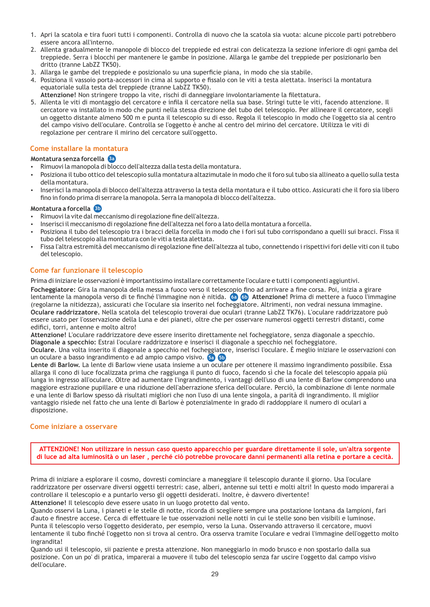- 1. Apri la scatola e tira fuori tutti i componenti. Controlla di nuovo che la scatola sia vuota: alcune piccole parti potrebbero essere ancora all'interno.
- 2. Allenta gradualmente le manopole di blocco del treppiede ed estrai con delicatezza la sezione inferiore di ogni gamba del treppiede. Serra i blocchi per mantenere le gambe in posizione. Allarga le gambe del treppiede per posizionarlo ben dritto (tranne LabZZ TK50).
- 3. Allarga le gambe del treppiede e posizionalo su una superficie piana, in modo che sia stabile.
- 4. Posiziona il vassoio porta-accessori in cima al supporto e fissalo con le viti a testa alettata. Inserisci la montatura equatoriale sulla testa del treppiede (tranne LabZZ TK50).
- **Attenzione!** Non stringere troppo la vite, rischi di danneggiare involontariamente la filettatura.
- 5. Allenta le viti di montaggio del cercatore e infila il cercatore nella sua base. Stringi tutte le viti, facendo attenzione. Il cercatore va installato in modo che punti nella stessa direzione del tubo del telescopio. Per allineare il cercatore, scegli un oggetto distante almeno 500 m e punta il telescopio su di esso. Regola il telescopio in modo che l'oggetto sia al centro del campo visivo dell'oculare. Controlla se l'oggetto è anche al centro del mirino del cercatore. Utilizza le viti di regolazione per centrare il mirino del cercatore sull'oggetto.

### **Come installare la montatura**

### **Montatura senza forcella 3a**

- Rimuovi la manopola di blocco dell'altezza dalla testa della montatura.
- џ Posiziona il tubo ottico del telescopio sulla montatura altazimutale in modo che il foro sul tubo sia allineato a quello sulla testa della montatura.
- џ Inserisci la manopola di blocco dell'altezza attraverso la testa della montatura e il tubo ottico. Assicurati che il foro sia libero fino in fondo prima di serrare la manopola. Serra la manopola di blocco dell'altezza.

### **Montatura a forcella 3b**

- Rimuovi la vite dal meccanismo di regolazione fine dell'altezza.
- Inserisci il meccanismo di regolazione fine dell'altezza nel foro a lato della montatura a forcella.
- Posiziona il tubo del telescopio tra i bracci della forcella in modo che i fori sul tubo corrispondano a quelli sui bracci. Fissa il tubo del telescopio alla montatura con le viti a testa alettata.
- џ Fissa l'altra estremità del meccanismo di regolazione fine dell'altezza al tubo, connettendo i rispettivi fori delle viti con il tubo del telescopio.

### **Come far funzionare il telescopio**

Prima di iniziare le osservazioni è importantissimo installare correttamente l'oculare e tutti i componenti aggiuntivi.

**Focheggiatore:** Gira la manopola della messa a fuoco verso il telescopio fino ad arrivare a fine corsa. Poi, inizia a girare lentamente la manopola verso di te finché l'immagine non è nitida. **Attenzione!** Prima di mettere a fuoco l'immagine **6a 6b** (regolarne la nitidezza), assicurati che l'oculare sia inserito nel focheggiatore. Altrimenti, non vedrai nessuna immagine. **Oculare raddrizzatore.** Nella scatola del telescopio troverai due oculari (tranne LabZZ TK76). L'oculare raddrizzatore può essere usato per l'osservazione della Luna e dei pianeti, oltre che per osservare numerosi oggetti terrestri distanti, come edifici, torri, antenne e molto altro!

**Attenzione!** L'oculare raddrizzatore deve essere inserito direttamente nel focheggiatore, senza diagonale a specchio. **Diagonale a specchio:** Estrai l'oculare raddrizzatore e inserisci il diagonale a specchio nel focheggiatore.

**Oculare.** Una volta inserito il diagonale a specchio nel focheggiatore, inserisci l'oculare. È meglio iniziare le osservazioni con un oculare a basso ingrandimento e ad ampio campo visivo. **5a 5b**

**Lente di Barlow.** La lente di Barlow viene usata insieme a un oculare per ottenere il massimo ingrandimento possibile. Essa allarga il cono di luce focalizzata prima che raggiunga il punto di fuoco, facendo sì che la focale del telescopio appaia più lunga in ingresso all'oculare. Oltre ad aumentare l'ingrandimento, i vantaggi dell'uso di una lente di Barlow comprendono una maggiore estrazione pupillare e una riduzione dell'aberrazione sferica dell'oculare. Perciò, la combinazione di lente normale e una lente di Barlow spesso dà risultati migliori che non l'uso di una lente singola, a parità di ingrandimento. Il miglior vantaggio risiede nel fatto che una lente di Barlow è potenzialmente in grado di raddoppiare il numero di oculari a disposizione.

### **Come iniziare a osservare**

**ATTENZIONE! Non utilizzare in nessun caso questo apparecchio per guardare direttamente il sole, un'altra sorgente di luce ad alta luminosità o un laser , perché ciò potrebbe provocare danni permanenti alla retina e portare a cecità.**

Prima di iniziare a esplorare il cosmo, dovresti cominciare a maneggiare il telescopio durante il giorno. Usa l'oculare raddrizzatore per osservare diversi oggetti terrestri: case, alberi, antenne sui tetti e molti altri! In questo modo imparerai a controllare il telescopio e a puntarlo verso gli oggetti desiderati. Inoltre, è davvero divertente! **Attenzione!** Il telescopio deve essere usato in un luogo protetto dal vento.

Quando osservi la Luna, i pianeti e le stelle di notte, ricorda di scegliere sempre una postazione lontana da lampioni, fari d'auto e finestre accese. Cerca di effettuare le tue osservazioni nelle notti in cui le stelle sono ben visibili e luminose. Punta il telescopio verso l'oggetto desiderato, per esempio, verso la Luna. Osservando attraverso il cercatore, muovi lentamente il tubo finché l'oggetto non si trova al centro. Ora osserva tramite l'oculare e vedrai l'immagine dell'oggetto molto ingrandita!

Quando usi il telescopio, sii paziente e presta attenzione. Non maneggiarlo in modo brusco e non spostarlo dalla sua posizione. Con un po' di pratica, imparerai a muovere il tubo del telescopio senza far uscire l'oggetto dal campo visivo dell'oculare.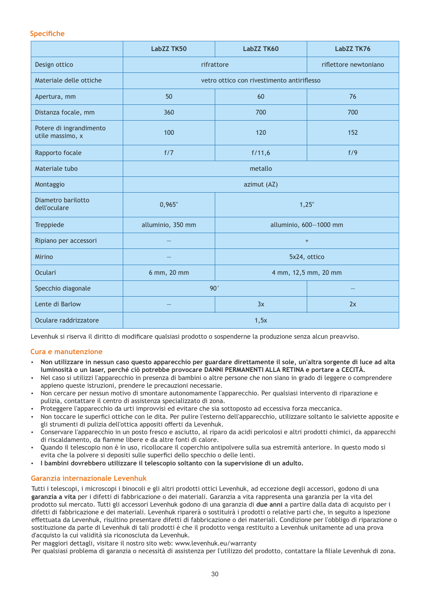### **Specifiche**

|                                             | LabZZ TK50                                 | LabZZ TK60                       | LabZZ TK76            |
|---------------------------------------------|--------------------------------------------|----------------------------------|-----------------------|
| Design ottico                               | rifrattore                                 |                                  | riflettore newtoniano |
| Materiale delle ottiche                     | vetro ottico con rivestimento antiriflesso |                                  |                       |
| Apertura, mm                                | 50                                         | 60                               | 76                    |
| Distanza focale, mm                         | 360                                        | 700                              | 700                   |
| Potere di ingrandimento<br>utile massimo, x | 100                                        | 120                              | 152                   |
| Rapporto focale                             | f/7                                        | f/11,6                           | f/9                   |
| Materiale tubo                              | metallo                                    |                                  |                       |
| Montaggio                                   | azimut (AZ)                                |                                  |                       |
| Diametro barilotto<br>dell'oculare          | 0,965"                                     | 1,25"                            |                       |
| Treppiede                                   | alluminio, 350 mm                          | alluminio, 600-1000 mm           |                       |
| Ripiano per accessori                       |                                            | $\begin{array}{c} + \end{array}$ |                       |
| Mirino                                      |                                            | 5x24, ottico                     |                       |
| Oculari                                     | 6 mm, 20 mm                                | 4 mm, 12,5 mm, 20 mm             |                       |
| Specchio diagonale                          | $90^\circ$                                 |                                  |                       |
| Lente di Barlow                             |                                            | 3x                               | 2x                    |
| Oculare raddrizzatore                       | 1,5x                                       |                                  |                       |

Levenhuk si riserva il diritto di modificare qualsiasi prodotto o sospenderne la produzione senza alcun preavviso.

### **Cura e manutenzione**

- џ **Non utilizzare in nessun caso questo apparecchio per guardare direttamente il sole, un'altra sorgente di luce ad alta luminosità o un laser, perché ciò potrebbe provocare DANNI PERMANENTI ALLA RETINA e portare a CECITÀ.**
- Nel caso si utilizzi l'apparecchio in presenza di bambini o altre persone che non siano in grado di leggere o comprendere appieno queste istruzioni, prendere le precauzioni necessarie.
- Non cercare per nessun motivo di smontare autonomamente l'apparecchio. Per qualsiasi intervento di riparazione e pulizia, contattare il centro di assistenza specializzato di zona.
- џ Proteggere l'apparecchio da urti improvvisi ed evitare che sia sottoposto ad eccessiva forza meccanica.
- џ Non toccare le superfici ottiche con le dita. Per pulire l'esterno dell'apparecchio, utilizzare soltanto le salviette apposite e gli strumenti di pulizia dell'ottica appositi offerti da Levenhuk.
- џ Conservare l'apparecchio in un posto fresco e asciutto, al riparo da acidi pericolosi e altri prodotti chimici, da apparecchi di riscaldamento, da fiamme libere e da altre fonti di calore.
- џ Quando il telescopio non è in uso, ricollocare il coperchio antipolvere sulla sua estremità anteriore. In questo modo si evita che la polvere si depositi sulle superfici dello specchio o delle lenti.
- џ **I bambini dovrebbero utilizzare il telescopio soltanto con la supervisione di un adulto.**

### **Garanzia internazionale Levenhuk**

Tutti i telescopi, i microscopi i binocoli e gli altri prodotti ottici Levenhuk, ad eccezione degli accessori, godono di una **garanzia a vita** per i difetti di fabbricazione o dei materiali. Garanzia a vita rappresenta una garanzia per la vita del prodotto sul mercato. Tutti gli accessori Levenhuk godono di una garanzia di **due anni** a partire dalla data di acquisto per i difetti di fabbricazione e dei materiali. Levenhuk riparerà o sostituirà i prodotti o relative parti che, in seguito a ispezione effettuata da Levenhuk, risultino presentare difetti di fabbricazione o dei materiali. Condizione per l'obbligo di riparazione o sostituzione da parte di Levenhuk di tali prodotti è che il prodotto venga restituito a Levenhuk unitamente ad una prova d'acquisto la cui validità sia riconosciuta da Levenhuk.

Per maggiori dettagli, visitare il nostro sito web: www.levenhuk.eu/warranty

Per qualsiasi problema di garanzia o necessità di assistenza per l'utilizzo del prodotto, contattare la filiale Levenhuk di zona.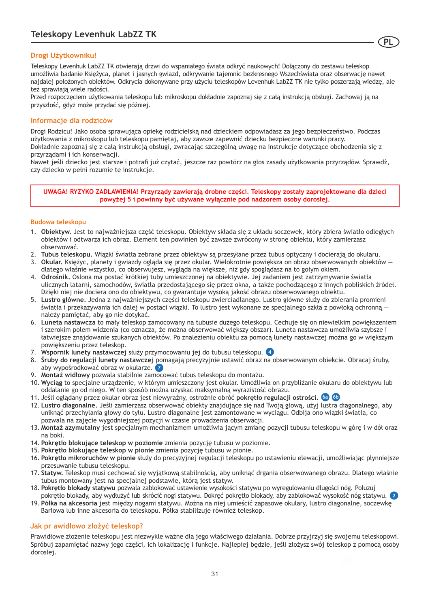### **Drogi Użytkowniku!**

Teleskopy Levenhuk LabZZ TK otwierają drzwi do wspaniałego świata odkryć naukowych! Dołączony do zestawu teleskop umożliwia badanie Księżyca, planet i jasnych gwiazd, odkrywanie tajemnic bezkresnego Wszechświata oraz obserwację nawet najdalej położonych obiektów. Odkrycia dokonywane przy użyciu teleskopów Levenhuk LabZZ TK nie tylko poszerzają wiedzę, ale też sprawiają wiele radości.

**PL**

Przed rozpoczęciem użytkowania teleskopu lub mikroskopu dokładnie zapoznaj się z całą instrukcją obsługi. Zachowaj ją na przyszłość, gdyż może przydać się później.

### **Informacje dla rodziców**

Drogi Rodzicu! Jako osoba sprawująca opiekę rodzicielską nad dzieckiem odpowiadasz za jego bezpieczeństwo. Podczas użytkowania z mikroskopu lub teleskopu pamiętaj, aby zawsze zapewnić dziecku bezpieczne warunki pracy. Dokładnie zapoznaj się z całą instrukcją obsługi, zwracając szczególną uwagę na instrukcje dotyczące obchodzenia się z przyrządami i ich konserwacji.

Nawet jeśli dziecko jest starsze i potrafi już czytać, jeszcze raz powtórz na głos zasady użytkowania przyrządów. Sprawdź, czy dziecko w pełni rozumie te instrukcje.

**UWAGA! RYZYKO ZADŁAWIENIA! Przyrządy zawierają drobne części. Teleskopy zostały zaprojektowane dla dzieci powyżej 5 i powinny być używane wyłącznie pod nadzorem osoby dorosłej.**

### **Budowa teleskopu**

- 1. **Obiektyw.** Jest to najważniejsza część teleskopu. Obiektyw składa się z układu soczewek, który zbiera światło odległych obiektów i odtwarza ich obraz. Element ten powinien być zawsze zwrócony w stronę obiektu, który zamierzasz obserwować.
- 2. **Tubus teleskopu.** Wiązki światła zebrane przez obiektyw są przesyłane przez tubus optyczny i docierają do okularu.
- 3. **Okular.** Księżyc, planety i gwiazdy ogląda się przez okular. Wielokrotnie powiększa on obraz obserwowanych obiektów dlatego właśnie wszystko, co obserwujesz, wygląda na większe, niż gdy spoglądasz na to gołym okiem.
- 4. **Odrośnik.** Osłona ma postać krótkiej tuby umieszczonej na obiektywie. Jej zadaniem jest zatrzymywanie światła ulicznych latarni, samochodów, światła przedostającego się przez okna, a także pochodzącego z innych pobliskich źródeł. Dzięki niej nie dociera ono do obiektywu, co gwarantuje wysoką jakość obrazu obserwowanego obiektu.
- 5. **Lustro główne.** Jedna z najważniejszych części teleskopu zwierciadlanego. Lustro główne służy do zbierania promieni światła i przekazywania ich dalej w postaci wiązki. To lustro jest wykonane ze specjalnego szkła z powłoką ochronną należy pamiętać, aby go nie dotykać.
- 6. **Luneta nastawcza** to mały teleskop zamocowany na tubusie dużego teleskopu. Cechuje się on niewielkim powiększeniem i szerokim polem widzenia (co oznacza, że można obserwować większy obszar). Luneta nastawcza umożliwia szybsze i łatwiejsze znajdowanie szukanych obiektów. Po znalezieniu obiektu za pomocą lunety nastawczej można go w większym powiększeniu przez teleskop.
- 7. **Wspornik lunety nastawczej** służy przymocowaniu jej do tubusu teleskopu. **4**
- 8. **Śruby do regulacji lunety nastawczej** pomagają precyzyjnie ustawić obraz na obserwowanym obiekcie. Obracaj śruby, aby wypośrodkować obraz w okularze. **7**
- 9. **Montaż widłowy** pozwala stabilnie zamocować tubus teleskopu do montażu.
- 10. **Wyciąg** to specjalne urządzenie, w którym umieszczony jest okular. Umożliwia on przybliżanie okularu do obiektywu lub oddalanie go od niego. W ten sposób można uzyskać maksymalną wyrazistość obrazu.
- 11. Jeśli oglądany przez okular obraz jest niewyraźny, ostrożnie obróć **pokrętło regulacji ostrości. 6a 6b**
- 12. **Lustro diagonalne.** Jeśli zamierzasz obserwować obiekty znajdujące się nad Twoją głową, użyj lustra diagonalnego, aby uniknąć przechylania głowy do tyłu. Lustro diagonalne jest zamontowane w wyciągu. Odbija ono wiązki światła, co pozwala na zajęcie wygodniejszej pozycji w czasie prowadzenia obserwacji.
- 13. **Montaż azymutalny** jest specjalnym mechanizmem umożliwia jącym zmianę pozycji tubusu teleskopu w górę i w dół oraz na boki.
- 14. **Pokrętło blokujące teleskop w poziomie** zmienia pozycję tubusu w poziomie.
- 15. **Pokrętło blokujące teleskop w pionie** zmienia pozycję tubusu w pionie.
- 16. **Pokrętło mikroruchów w pionie** służy do precyzyjnej regulacji teleskopu po ustawieniu elewacji, umożliwiając płynniejsze przesuwanie tubusu teleskopu.
- 17. **Statyw.** Teleskop musi cechować się wyjątkową stabilnością, aby uniknąć drgania obserwowanego obrazu. Dlatego właśnie tubus montowany jest na specjalnej podstawie, którą jest statyw.
- 18. **Pokrętło blokady statywu** pozwala zablokować ustawienie wysokości statywu po wyregulowaniu długości nóg. Poluzuj
- 19. **Półka na akcesoria** jest między nogami statywu. Można na niej umieścić zapasowe okulary, lustro diagonalne, soczewkę pokrętło blokady, aby wydłużyć lub skrócić nogi statywu. Dokręć pokrętło blokady, aby zablokować wysokość nóg statywu. **2** Barlowa lub inne akcesoria do teleskopu. Półka stabilizuje również teleskop.

### **Jak pr awidłowo złożyć teleskop?**

Prawidłowe złożenie teleskopu jest niezwykle ważne dla jego właściwego działania. Dobrze przyjrzyj się swojemu teleskopowi. Spróbuj zapamiętać nazwy jego części, ich lokalizację i funkcje. Najlepiej będzie, jeśli złożysz swój teleskop z pomocą osoby dorosłej.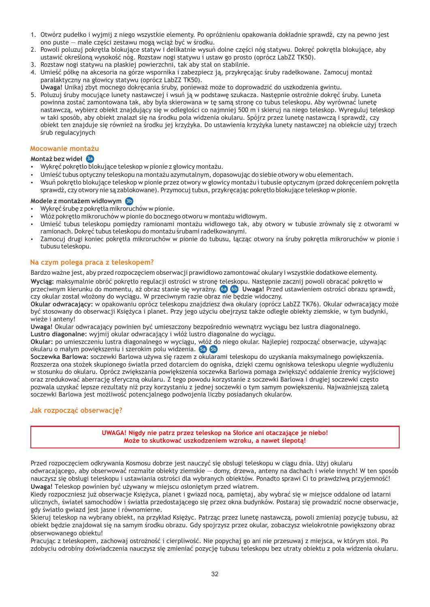- 1. Otwórz pudełko i wyjmij z niego wszystkie elementy. Po opróżnieniu opakowania dokładnie sprawdź, czy na pewno jest ono puste — małe części zestawu mogą wciąż być w środku.
- 2. Powoli poluzuj pokrętła blokujące statyw i delikatnie wysuń dolne części nóg statywu. Dokręć pokrętła blokujące, aby ustawić określoną wysokość nóg. Rozstaw nogi statywu i ustaw go prosto (oprócz LabZZ TK50).
- 3. Rozstaw nogi statywu na płaskiej powierzchni, tak aby stał on stabilnie.
- 4. Umieść półkę na akcesoria na górze wspornika i zabezpiecz ją, przykręcając śruby radełkowane. Zamocuj montaż paralaktyczny na głowicy statywu (oprócz LabZZ TK50).
- **Uwaga!** Unikaj zbyt mocnego dokręcania śruby, ponieważ może to doprowadzić do uszkodzenia gwintu.
- 5. Poluzuj śruby mocujące lunety nastawczej i wsuń ją w podstawę szukacza. Następnie ostrożnie dokręć śruby. Luneta powinna zostać zamontowana tak, aby była skierowana w tę samą stronę co tubus teleskopu. Aby wyrównać lunetę nastawczą, wybierz obiekt znajdujący się w odległości co najmniej 500 m i skieruj na niego teleskop. Wyreguluj teleskop w taki sposób, aby obiekt znalazł się na środku pola widzenia okularu. Spójrz przez lunetę nastawczą i sprawdź, czy obiekt ten znajduje się również na środku jej krzyżyka. Do ustawienia krzyżyka lunety nastawczej na obiekcie użyj trzech śrub regulacyjnych

### **Mocowanie montażu**

### **Montaż bez wideł 3a**

- џ Wykręć pokrętło blokujące teleskop w pionie z głowicy montażu.
- џ Umieść tubus optyczny teleskopu na montażu azymutalnym, dopasowując do siebie otwory w obu elementach.
- џ Wsuń pokrętło blokujące teleskop w pionie przez otwory w głowicy montażu i tubusie optycznym (przed dokręceniem pokrętła sprawdź, czy otwory nie są zablokowane). Przymocuj tubus, przykręcając pokrętło blokujące teleskop w pionie.

### **Modele z montażem widłowym 3b**

- џ Wykręć śrubę z pokrętła mikroruchów w pionie.
- џ Włóż pokrętło mikroruchów w pionie do bocznego otworu w montażu widłowym.
- Umieść tubus teleskopu pomiędzy ramionami montażu widłowego tak, aby otwory w tubusie zrównały się z otworami w ramionach. Dokręć tubus teleskopu do montażu śrubami radełkowanymi.
- џ Zamocuj drugi koniec pokrętła mikroruchów w pionie do tubusu, łącząc otwory na śruby pokrętła mikroruchów w pionie i tubusu teleskopu.

### **Na czym polega praca z teleskopem?**

Bardzo ważne jest, aby przed rozpoczęciem obserwacji prawidłowo zamontować okulary i wszystkie dodatkowe elementy.

**Wyciąg:** maksymalnie obróć pokrętło regulacji ostrości w stronę teleskopu. Następnie zacznij powoli obracać pokrętło w przeciwnym kierunku do momentu, aż obraz stanie się wyraźny. **Uwaga!** Przed ustawieniem ostrości obrazu sprawdź, **6a 6b** czy okular został włożony do wyciągu. W przeciwnym razie obraz nie będzie widoczny.

**Okular odwracający:** w opakowaniu oprócz teleskopu znajdziesz dwa okulary (oprócz LabZZ TK76). Okular odwracający może być stosowany do obserwacji Księżyca i planet. Przy jego użyciu obejrzysz także odległe obiekty ziemskie, w tym budynki, wieże i anteny!

**Uwaga!** Okular odwracający powinien być umieszczony bezpośrednio wewnątrz wyciągu bez lustra diagonalnego. **Lustro diagonalne:** wyjmij okular odwracający i włóż lustro diagonalne do wyciągu.

**Okular:** po umieszczeniu lustra diagonalnego w wyciągu, włóż do niego okular. Najlepiej rozpocząć obserwacje, używając okularu o małym powiększeniu i szerokim polu widzenia. **5a 5b**

**Soczewka Barlowa:** soczewki Barlowa używa się razem z okularami teleskopu do uzyskania maksymalnego powiększenia. Rozszerza ona stożek skupionego światła przed dotarciem do ogniska, dzięki czemu ogniskowa teleskopu ulegnie wydłużeniu w stosunku do okularu. Oprócz zwiększania powiększenia soczewka Barlowa pomaga zwiększyć oddalenie źrenicy wyjściowej oraz zredukować aberrację sferyczną okularu. Z tego powodu korzystanie z soczewki Barlowa i drugiej soczewki często pozwala uzyskać lepsze rezultaty niż przy korzystaniu z jednej soczewki o tym samym powiększeniu. Najważniejszą zaletą soczewki Barlowa jest możliwość potencjalnego podwojenia liczby posiadanych okularów.

### **Jak rozpocząć obserwację?**

**UWAGA! Nigdy nie patrz przez teleskop na Słońce ani otaczające je niebo! Może to skutkować uszkodzeniem wzroku, a nawet ślepotą!**

Przed rozpoczęciem odkrywania Kosmosu dobrze jest nauczyć się obsługi teleskopu w ciągu dnia. Użyj okularu odwracającego, aby obserwować rozmaite obiekty ziemskie — domy, drzewa, anteny na dachach i wiele innych! W ten sposób nauczysz się obsługi teleskopu i ustawiania ostrości dla wybranych obiektów. Ponadto sprawi Ci to prawdziwą przyjemność! **Uwaga!** Teleskop powinien być używany w miejscu osłoniętym przed wiatrem.

Kiedy rozpoczniesz już obserwacje Księżyca, planet i gwiazd nocą, pamiętaj, aby wybrać się w miejsce oddalone od latarni ulicznych, świateł samochodów i światła przedostającego się przez okna budynków. Postaraj się prowadzić nocne obserwacje, gdy światło gwiazd jest jasne i równomierne.

Skieruj teleskop na wybrany obiekt, na przykład Księżyc. Patrząc przez lunetę nastawczą, powoli zmieniaj pozycję tubusu, aż obiekt będzie znajdował się na samym środku obrazu. Gdy spojrzysz przez okular, zobaczysz wielokrotnie powiększony obraz obserwowanego obiektu!

Pracując z teleskopem, zachowaj ostrożność i cierpliwość. Nie popychaj go ani nie przesuwaj z miejsca, w którym stoi. Po zdobyciu odrobiny doświadczenia nauczysz się zmieniać pozycję tubusu teleskopu bez utraty obiektu z pola widzenia okularu.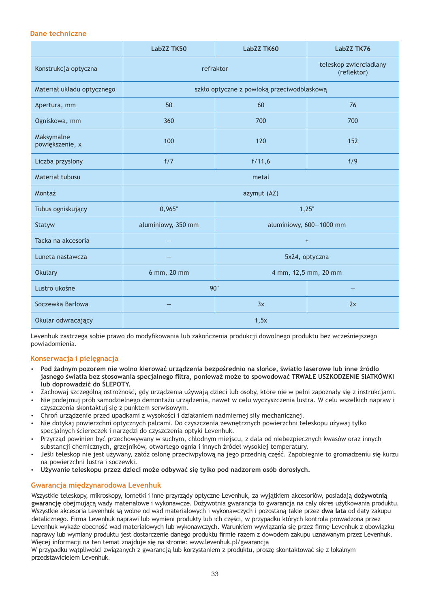### **Dane techniczne**

|                               | LabZZ TK50         | LabZZ TK60                                 | LabZZ TK76                            |
|-------------------------------|--------------------|--------------------------------------------|---------------------------------------|
| Konstrukcja optyczna          | refraktor          |                                            | teleskop zwierciadlany<br>(reflektor) |
| Materiał układu optycznego    |                    | szkło optyczne z powłoką przeciwodblaskową |                                       |
| Apertura, mm                  | 50                 | 60                                         | 76                                    |
| Ogniskowa, mm                 | 360                | 700                                        | 700                                   |
| Maksymalne<br>powiększenie, x | 100                | 120                                        | 152                                   |
| Liczba przysłony              | f/7                | f/11,6                                     | f/9                                   |
| Materiał tubusu               | metal              |                                            |                                       |
| Montaż                        |                    | azymut (AZ)                                |                                       |
| Tubus ogniskujący             | 0,965"             |                                            | 1,25"                                 |
| Statyw                        | aluminiowy, 350 mm | aluminiowy, 600-1000 mm                    |                                       |
| Tacka na akcesoria            |                    | $\begin{array}{c} + \end{array}$           |                                       |
| Luneta nastawcza              |                    | 5x24, optyczna                             |                                       |
| <b>Okulary</b>                | 6 mm, 20 mm        | 4 mm, 12,5 mm, 20 mm                       |                                       |
| Lustro ukośne                 | 90°                |                                            |                                       |
| Soczewka Barlowa              |                    | 3x                                         | 2x                                    |
| Okular odwracający            | 1,5x               |                                            |                                       |

Levenhuk zastrzega sobie prawo do modyfikowania lub zakończenia produkcji dowolnego produktu bez wcześniejszego powiadomienia.

### **Konserwacja i pielęgnacja**

- џ **Pod żadnym pozorem nie wolno kierować urządzenia bezpośrednio na słońce, światło laserowe lub inne źródło jasnego światła bez stosowania specjalnego filtra, ponieważ może to spowodować TRWAŁE USZKODZENIE SIATKÓWKI lub doprowadzić do ŚLEPOTY.**
- џ Zachowaj szczególną ostrożność, gdy urządzenia używają dzieci lub osoby, które nie w pełni zapoznały się z instrukcjami.
- џ Nie podejmuj prób samodzielnego demontażu urządzenia, nawet w celu wyczyszczenia lustra. W celu wszelkich napraw i czyszczenia skontaktuj się z punktem serwisowym.
- џ Chroń urządzenie przed upadkami z wysokości i działaniem nadmiernej siły mechanicznej.
- џ Nie dotykaj powierzchni optycznych palcami. Do czyszczenia zewnętrznych powierzchni teleskopu używaj tylko specjalnych ściereczek i narzędzi do czyszczenia optyki Levenhuk.
- џ Przyrząd powinien być przechowywany w suchym, chłodnym miejscu, z dala od niebezpiecznych kwasów oraz innych substancji chemicznych, grzejników, otwartego ognia i innych źródeł wysokiej temperatury.
- џ Jeśli teleskop nie jest używany, załóż osłonę przeciwpyłową na jego przednią część. Zapobiegnie to gromadzeniu się kurzu na powierzchni lustra i soczewki.
- џ **Używanie teleskopu przez dzieci może odbywać się tylko pod nadzorem osób dorosłych.**

### **Gwarancja międzynarodowa Levenhuk**

Wszystkie teleskopy, mikroskopy, lornetki i inne przyrządy optyczne Levenhuk, za wyjątkiem akcesoriów, posiadają **dożywotnią gwarancję** obejmującą wady materiałowe i wykonawcze. Dożywotnia gwarancja to gwarancja na cały okres użytkowania produktu. Wszystkie akcesoria Levenhuk są wolne od wad materiałowych i wykonawczych i pozostaną takie przez **dwa lata** od daty zakupu detalicznego. Firma Levenhuk naprawi lub wymieni produkty lub ich części, w przypadku których kontrola prowadzona przez Levenhuk wykaże obecność wad materiałowych lub wykonawczych. Warunkiem wywiązania się przez firmę Levenhuk z obowiązku naprawy lub wymiany produktu jest dostarczenie danego produktu firmie razem z dowodem zakupu uznawanym przez Levenhuk. Więcej informacji na ten temat znajduje się na stronie: www.levenhuk.pl/gwarancja

W przypadku wątpliwości związanych z gwarancją lub korzystaniem z produktu, proszę skontaktować się z lokalnym przedstawicielem Levenhuk.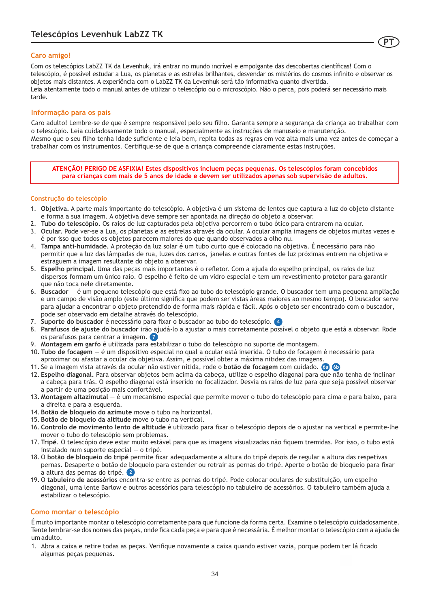### **Caro amigo!**

Com os telescópios LabZZ TK da Levenhuk, irá entrar no mundo incrível e empolgante das descobertas científicas! Com o telescópio, é possível estudar a Lua, os planetas e as estrelas brilhantes, desvendar os mistérios do cosmos infinito e observar os objetos mais distantes. A experiência com o LabZZ TK da Levenhuk será tão informativa quanto divertida. Leia atentamente todo o manual antes de utilizar o telescópio ou o microscópio. Não o perca, pois poderá ser necessário mais tarde.

**PT**

### **Informação para os pais**

Caro adulto! Lembre-se de que é sempre responsável pelo seu filho. Garanta sempre a segurança da criança ao trabalhar com o telescópio. Leia cuidadosamente todo o manual, especialmente as instruções de manuseio e manutenção. Mesmo que o seu filho tenha idade suficiente e leia bem, repita todas as regras em voz alta mais uma vez antes de começar a trabalhar com os instrumentos. Certifique-se de que a criança compreende claramente estas instruções.

**ATENÇÃO! PERIGO DE ASFIXIA! Estes dispositivos incluem peças pequenas. Os telescópios foram concebidos para crianças com mais de 5 anos de idade e devem ser utilizados apenas sob supervisão de adultos.**

### **Construção do telescópio**

- 1. **Objetiva.** A parte mais importante do telescópio. A objetiva é um sistema de lentes que captura a luz do objeto distante e forma a sua imagem. A objetiva deve sempre ser apontada na direção do objeto a observar.
- 2. **Tubo do telescópio.** Os raios de luz capturados pela objetiva percorrem o tubo ótico para entrarem na ocular.
- 3. **Ocular.** Pode ver-se a Lua, os planetas e as estrelas através da ocular. A ocular amplia imagens de objetos muitas vezes e é por isso que todos os objetos parecem maiores do que quando observados a olho nu.
- 4. **Tampa anti-humidade.** A proteção da luz solar é um tubo curto que é colocado na objetiva. É necessário para não permitir que a luz das lâmpadas de rua, luzes dos carros, janelas e outras fontes de luz próximas entrem na objetiva e estraguem a imagem resultante do objeto a observar.
- 5. **Espelho principal.** Uma das peças mais importantes é o refletor. Com a ajuda do espelho principal, os raios de luz dispersos formam um único raio. O espelho é feito de um vidro especial e tem um revestimento protetor para garantir que não toca nele diretamente.
- 6. **Buscador** é um pequeno telescópio que está fixo ao tubo do telescópio grande. O buscador tem uma pequena ampliação e um campo de visão amplo (este último significa que podem ser vistas áreas maiores ao mesmo tempo). O buscador serve para ajudar a encontrar o objeto pretendido de forma mais rápida e fácil. Após o objeto ser encontrado com o buscador, pode ser observado em detalhe através do telescópio.
- 7. **Suporte do buscador** é necessário para fixar o buscador ao tubo do telescópio. **4**
- 8. **Parafusos de ajuste do buscador** irão ajudá-lo a ajustar o mais corretamente possível o objeto que está a observar. Rode os parafusos para centrar a imagem. **7**
- 9. **Montagem em garfo** é utilizada para estabilizar o tubo do telescópio no suporte de montagem.
- 10. **Tubo de focagem**  é um dispositivo especial no qual a ocular está inserida. O tubo de focagem é necessário para aproximar ou afastar a ocular da objetiva. Assim, é possível obter a máxima nitidez das imagens.
- 11. Se a imagem vista através da ocular não estiver nítida, rode o **botão de focagem** com cuidado. **6a 6b**
- 12. **Espelho diagonal.** Para observar objetos bem acima da cabeça, utilize o espelho diagonal para que não tenha de inclinar a cabeça para trás. O espelho diagonal está inserido no focalizador. Desvia os raios de luz para que seja possível observar a partir de uma posição mais confortável.
- 13. **Montagem altazimutal** é um mecanismo especial que permite mover o tubo do telescópio para cima e para baixo, para a direita e para a esquerda.
- 14. **Botão de bloqueio do azimute** move o tubo na horizontal.
- 15. **Botão de bloqueio da altitude** move o tubo na vertical.
- 16. **Controlo de movimento lento de altitude** é utilizado para fixar o telescópio depois de o ajustar na vertical e permite-lhe mover o tubo do telescópio sem problemas.
- 17. **Tripé**. O telescópio deve estar muito estável para que as imagens visualizadas não fiquem tremidas. Por isso, o tubo está instalado num suporte especial — o tripé.
- 18. O **botão de bloqueio do tripé** permite fixar adequadamente a altura do tripé depois de regular a altura das respetivas pernas. Desaperte o botão de bloqueio para estender ou retrair as pernas do tripé. Aperte o botão de bloqueio para fixar a altura das pernas do tripé. **2**
- 19. O **tabuleiro de acessórios** encontra-se entre as pernas do tripé. Pode colocar oculares de substituição, um espelho diagonal, uma lente Barlow e outros acessórios para telescópio no tabuleiro de acessórios. O tabuleiro também ajuda a estabilizar o telescópio.

### **Como montar o telescópio**

É muito importante montar o telescópio corretamente para que funcione da forma certa. Examine o telescópio cuidadosamente. Tente lembrar-se dos nomes das peças, onde fica cada peça e para que é necessária. É melhor montar o telescópio com a ajuda de um adulto.

1. Abra a caixa e retire todas as peças. Verifique novamente a caixa quando estiver vazia, porque podem ter lá ficado algumas peças pequenas.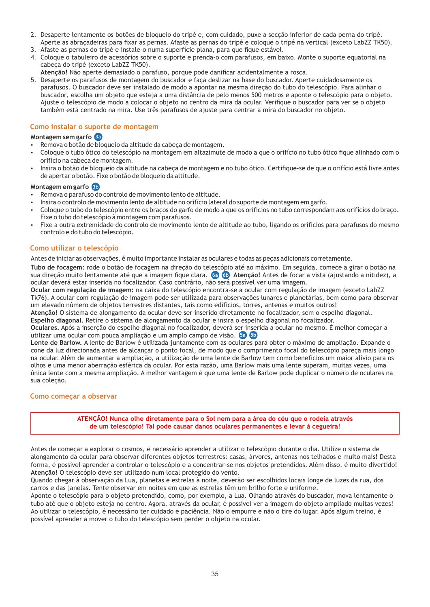- 2. Desaperte lentamente os botões de bloqueio do tripé e, com cuidado, puxe a secção inferior de cada perna do tripé. Aperte as abraçadeiras para fixar as pernas. Afaste as pernas do tripé e coloque o tripé na vertical (exceto LabZZ TK50).
- 3. Afaste as pernas do tripé e instale-o numa superfície plana, para que fique estável.
- 4. Coloque o tabuleiro de acessórios sobre o suporte e prenda-o com parafusos, em baixo. Monte o suporte equatorial na cabeça do tripé (exceto LabZZ TK50).
- **Atenção!** Não aperte demasiado o parafuso, porque pode danificar acidentalmente a rosca.
- 5. Desaperte os parafusos de montagem do buscador e faça deslizar na base do buscador. Aperte cuidadosamente os parafusos. O buscador deve ser instalado de modo a apontar na mesma direção do tubo do telescópio. Para alinhar o buscador, escolha um objeto que esteja a uma distância de pelo menos 500 metros e aponte o telescópio para o objeto. Ajuste o telescópio de modo a colocar o objeto no centro da mira da ocular. Verifique o buscador para ver se o objeto também está centrado na mira. Use três parafusos de ajuste para centrar a mira do buscador no objeto.

### **Como instalar o suporte de montagem**

### **Montagem sem garfo 3a**

- Remova o botão de bloqueio da altitude da cabeça de montagem.
- џ Coloque o tubo ótico do telescópio na montagem em altazimute de modo a que o orifício no tubo ótico fique alinhado com o orifício na cabeça de montagem.
- Insira o botão de bloqueio da altitude na cabeca de montagem e no tubo ótico. Certifique-se de que o orifício está livre antes de apertar o botão. Fixe o botão de bloqueio da altitude.

### **Montagem em garfo 3b**

- џ Remova o parafuso do controlo de movimento lento de altitude.
- џ Insira o controlo de movimento lento de altitude no orifício lateral do suporte de montagem em garfo.
- џ Coloque o tubo do telescópio entre os braços do garfo de modo a que os orifícios no tubo correspondam aos orifícios do braço. Fixe o tubo do telescópio à montagem com parafusos.
- Fixe a outra extremidade do controlo de movimento lento de altitude ao tubo, ligando os orifícios para parafusos do mesmo controlo e do tubo do telescópio.

### **Como utilizar o telescópio**

Antes de iniciar as observações, é muito importante instalar as oculares e todas as peças adicionais corretamente.

**Tubo de focagem:** rode o botão de focagem na direção do telescópio até ao máximo. Em seguida, comece a girar o botão na sua direção muito lentamente até que a imagem fique clara. **Atenção!** Antes de focar a vista (ajustando a nitidez), a **6a 6b** ocular deverá estar inserida no focalizador. Caso contrário, não será possível ver uma imagem.

**Ocular com regulação de imagem:** na caixa do telescópio encontra-se a ocular com regulação de imagem (exceto LabZZ Tk76). A ocular com regulação de imagem pode ser utilizada para observações lunares e planetárias, bem como para observar um elevado número de objetos terrestres distantes, tais como edifícios, torres, antenas e muitos outros!

**Atenção!** O sistema de alongamento da ocular deve ser inserido diretamente no focalizador, sem o espelho diagonal.

**Espelho diagonal.** Retire o sistema de alongamento da ocular e insira o espelho diagonal no focalizador.

**Oculares.** Após a inserção do espelho diagonal no focalizador, deverá ser inserida a ocular no mesmo. É melhor começar a utilizar uma ocular com pouca ampliação e um amplo campo de visão. **5a 5b**

**Lente de Barlow.** A lente de Barlow é utilizada juntamente com as oculares para obter o máximo de ampliação. Expande o cone da luz direcionada antes de alcançar o ponto focal, de modo que o comprimento focal do telescópio pareça mais longo na ocular. Além de aumentar a ampliação, a utilização de uma lente de Barlow tem como benefícios um maior alívio para os olhos e uma menor aberração esférica da ocular. Por esta razão, uma Barlow mais uma lente superam, muitas vezes, uma única lente com a mesma ampliação. A melhor vantagem é que uma lente de Barlow pode duplicar o número de oculares na sua coleção.

### **Como começar a observar**

**ATENÇÃO! Nunca olhe diretamente para o Sol nem para a área do céu que o rodeia através de um telescópio! Tal pode causar danos oculares permanentes e levar à cegueira!**

Antes de começar a explorar o cosmos, é necessário aprender a utilizar o telescópio durante o dia. Utilize o sistema de alongamento da ocular para observar diferentes objetos terrestres: casas, árvores, antenas nos telhados e muito mais! Desta forma, é possível aprender a controlar o telescópio e a concentrar-se nos objetos pretendidos. Além disso, é muito divertido! **Atenção!** O telescópio deve ser utilizado num local protegido do vento.

Quando chegar à observação da Lua, planetas e estrelas à noite, deverão ser escolhidos locais longe de luzes da rua, dos carros e das janelas. Tente observar em noites em que as estrelas têm um brilho forte e uniforme.

Aponte o telescópio para o objeto pretendido, como, por exemplo, a Lua. Olhando através do buscador, mova lentamente o tubo até que o objeto esteja no centro. Agora, através da ocular, é possível ver a imagem do objeto ampliado muitas vezes! Ao utilizar o telescópio, é necessário ter cuidado e paciência. Não o empurre e não o tire do lugar. Após algum treino, é possível aprender a mover o tubo do telescópio sem perder o objeto na ocular.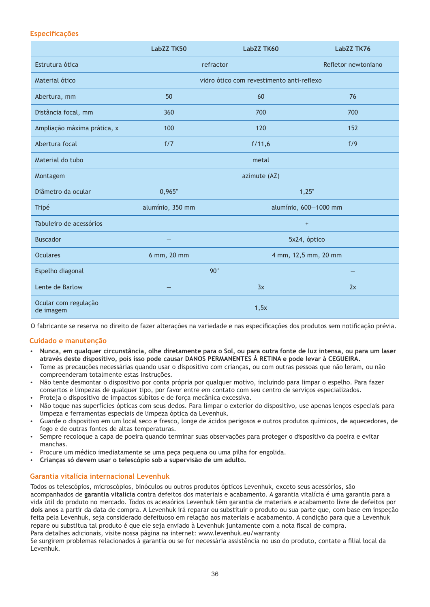### **Especificações**

|                                   | LabZZ TK50                                | LabZZ TK60                                | LabZZ TK76           |
|-----------------------------------|-------------------------------------------|-------------------------------------------|----------------------|
| Estrutura ótica                   | refractor                                 |                                           | Refletor newtoniano  |
| Material ótico                    |                                           | vidro ótico com revestimento anti-reflexo |                      |
| Abertura, mm                      | 50                                        | 60                                        | 76                   |
| Distância focal, mm               | 360                                       | 700                                       | 700                  |
| Ampliação máxima prática, x       | 100                                       | 120                                       | 152                  |
| Abertura focal                    | f/7                                       | f/11,6                                    | f/9                  |
| Material do tubo                  | metal                                     |                                           |                      |
| Montagem                          | azimute (AZ)                              |                                           |                      |
| Diâmetro da ocular                | 0,965"<br>1,25"                           |                                           |                      |
| Tripé                             | alumínio, 350 mm<br>alumínio, 600-1000 mm |                                           |                      |
| Tabuleiro de acessórios           |                                           | $\begin{array}{c} + \end{array}$          |                      |
| <b>Buscador</b>                   |                                           |                                           | 5x24, óptico         |
| <b>Oculares</b>                   | 6 mm, 20 mm                               |                                           | 4 mm, 12,5 mm, 20 mm |
| Espelho diagonal                  | $90^\circ$                                |                                           |                      |
| Lente de Barlow                   |                                           | 3x                                        | 2x                   |
| Ocular com regulação<br>de imagem | 1,5x                                      |                                           |                      |

O fabricante se reserva no direito de fazer alterações na variedade e nas especificações dos produtos sem notificação prévia.

### **Cuidado e manutenção**

- џ **Nunca, em qualquer circunstância, olhe diretamente para o Sol, ou para outra fonte de luz intensa, ou para um laser através deste dispositivo, pois isso pode causar DANOS PERMANENTES À RETINA e pode levar à CEGUEIRA.**
- Tome as precauções necessárias quando usar o dispositivo com crianças, ou com outras pessoas que não leram, ou não compreenderam totalmente estas instruções.
- Não tente desmontar o dispositivo por conta própria por qualquer motivo, incluindo para limpar o espelho. Para fazer consertos e limpezas de qualquer tipo, por favor entre em contato com seu centro de serviços especializados.
- џ Proteja o dispositivo de impactos súbitos e de força mecânica excessiva.
- џ Não toque nas superfícies ópticas com seus dedos. Para limpar o exterior do dispositivo, use apenas lenços especiais para limpeza e ferramentas especiais de limpeza óptica da Levenhuk.
- Guarde o dispositivo em um local seco e fresco, longe de ácidos perigosos e outros produtos químicos, de aquecedores, de fogo e de outras fontes de altas temperaturas.
- Sempre recoloque a capa de poeira quando terminar suas observações para proteger o dispositivo da poeira e evitar manchas.
- Procure um médico imediatamente se uma peça pequena ou uma pilha for engolida.
- џ **Crianças só devem usar o telescópio sob a supervisão de um adulto.**

### **Garantia vitalícia internacional Levenhuk**

Todos os telescópios, microscópios, binóculos ou outros produtos ópticos Levenhuk, exceto seus acessórios, são acompanhados de **garantia vitalícia** contra defeitos dos materiais e acabamento. A garantia vitalícia é uma garantia para a vida útil do produto no mercado. Todos os acessórios Levenhuk têm garantia de materiais e acabamento livre de defeitos por **dois anos** a partir da data de compra. A Levenhuk irá reparar ou substituir o produto ou sua parte que, com base em inspeção feita pela Levenhuk, seja considerado defeituoso em relação aos materiais e acabamento. A condição para que a Levenhuk repare ou substitua tal produto é que ele seja enviado à Levenhuk juntamente com a nota fiscal de compra. Para detalhes adicionais, visite nossa página na internet: www.levenhuk.eu/warranty

Se surgirem problemas relacionados à garantia ou se for necessária assistência no uso do produto, contate a filial local da Levenhuk.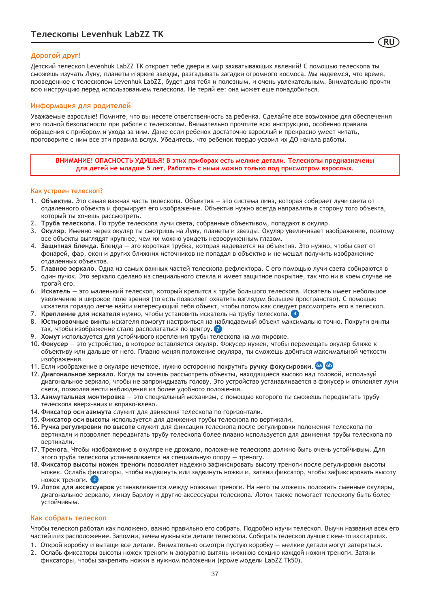### **Дорогой друг!**

Детский телескоп Levenhuk LabZZ TK откроет тебе двери в мир захватывающих явлений! С помощью телескопа ты сможешь изучать Луну, планеты и яркие звезды, разгадывать загадки огромного космоса. Мы надеемся, что время, проведенное с телескопом Levenhuk LabZZ, будет для тебя и полезным, и очень увлекательным. Внимательно прочти всю инструкцию перед использованием телескопа. Не теряй ее: она может еще понадобиться.

**RU**

### **Информация для родителей**

Уважаемые взрослые! Помните, что вы несете ответственность за ребенка. Сделайте все возможное для обеспечения его полной безопасности при работе с телескопом. Внимательно прочтите всю инструкцию, особенно правила обращения с прибором и ухода за ним. Даже если ребенок достаточно взрослый и прекрасно умеет читать, проговорите с ним все эти правила вслух. Убедитесь, что ребенок твердо усвоил их ДО начала работы.

**ВНИМАНИЕ! ОПАСНОСТЬ УДУШЬЯ! В этих приборах есть мелкие детали. Телескопы предназначены для детей не младше 5 лет. Работать с ними можно только под присмотром взрослых.**

### **Как устроен телескоп?**

- 1. **Объектив.** Это самая важная часть телескопа. Объектив это система линз, которая собирает лучи света от отдаленного объекта и формирует его изображение. Объектив нужно всегда направлять в сторону того объекта, который ты хочешь рассмотреть.
- 2. **Труба телескопа**. По трубе телескопа лучи света, собранные объективом, попадают в окуляр.
- 3. **Окуляр**. Именно через окуляр ты смотришь на Луну, планеты и звезды. Окуляр увеличивает изображение, поэтому все объекты выглядят крупнее, чем их можно увидеть невооруженным глазом.
- 4. **Защитная бленда.** Бленда это короткая трубка, которая надевается на объектив. Это нужно, чтобы свет от фонарей, фар, окон и других ближних источников не попадал в объектив и не мешал получить изображение отдаленных объектов.
- 5. **Главное зеркало**. Одна из самых важных частей телескопа–рефлектора. С его помощью лучи света собираются в один пучок. Это зеркало сделано из специального стекла и имеет защитное покрытие, так что ни в коем случае не трогай его.
- 6. **Искатель** это маленький телескоп, который крепится к трубе большого телескопа. Искатель имеет небольшое увеличение и широкое поле зрения (то есть позволяет охватить взглядом большее пространство). С помощью искателя гораздо легче найти интересующий тебя объект, чтобы потом как следует рассмотреть его в телескоп.
- 7. **Крепление для искателя** нужно, чтобы установить искатель на трубу телескопа. **4**
- 8. **Юстировочные винты** искателя помогут настроиться на наблюдаемый объект максимально точно. Покрути винты так, чтобы изображение стало располагаться по центру. **7**
- 9. **Хомут** используется для устойчивого крепления трубы телескопа на монтировке.
- 10. **Фокусер** это устройство, в которое вставляется окуляр. Фокусер нужен, чтобы перемещать окуляр ближе к объективу или дальше от него. Плавно меняя положение окуляра, ты сможешь добиться максимальной четкости изображения.
- 11. **6b** Если изображение в окуляре нечеткое, нужно осторожно покрутить **ручку фокусировки**. **6a**
- 12. **Диагональное зеркало**. Когда ты хочешь рассмотреть объекты, находящиеся высоко над головой, используй диагональное зеркало, чтобы не запрокидывать голову. Это устройство устанавливается в фокусер и отклоняет лучи света, позволяя вести наблюдения из более удобного положения.
- 13. **Азимутальная монтировка** это специальный механизм, с помощью которого ты сможешь передвигать трубу телескопа вверх–вниз и вправо–влево.
- 14. **Фиксатор оси азимута** служит для движения телескопа по горизонтали.
- 15. **Фиксатор оси высоты** используется для движения трубы телескопа по вертикали.
- 16. **Ручка регулировки по высоте** служит для фиксации телескопа после регулировки положения телескопа по вертикали и позволяет передвигать трубу телескопа более плавно используется для движения трубы телескопа по вертикали.
- 17. **Тренога**. Чтобы изображение в окуляре не дрожало, положение телескопа должно быть очень устойчивым. Для этого труба телескопа устанавливается на специальную опору — треногу.
- 18. **Фиксатор высоты ножек треноги** позволяет надежно зафиксировать высоту треноги после регулировки высоты ножек. Ослабь фиксаторы, чтобы выдвинуть или задвинуть ножки и, затяни фиксатор, чтобы зафиксировать высоту ножек треноги. **2**
- 19. **Лоток для аксессуаров** устанавливается между ножками треноги. На него ты можешь положить сменные окуляры, диагональное зеркало, линзу Барлоу и другие аксессуары телескопа. Лоток также помогает телескопу быть более устойчивым.

### **Как собрать телескоп**

Чтобы телескоп работал как положено, важно правильно его собрать. Подробно изучи телескоп. Выучи названия всех его частей и их расположение. Запомни, зачем нужны все детали телескопа. Собирать телескоп лучше с кем–то из старших.

- 1. Открой коробку и вытащи все детали. Внимательно осмотри пустую коробку мелкие детали могут затеряться.
- 2. Ослабь фиксаторы высоты ножек треноги и аккуратно вытянь нижнюю секцию каждой ножки треноги. Затяни фиксаторы, чтобы закрепить ножки в нужном положении (кроме модели LabZZ Tk50).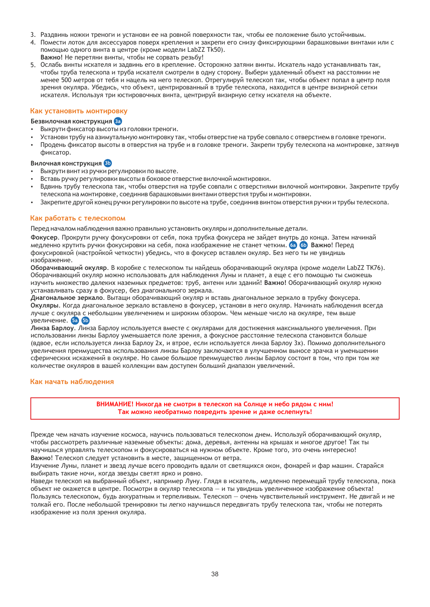- 3. Раздвинь ножки треноги и установи ее на ровной поверхности так, чтобы ее положение было устойчивым.
- 4. Помести лоток для аксессуаров поверх крепления и закрепи его снизу фиксирующими барашковыми винтами или с помощью одного винта в центре (кроме модели LabZZ Tk50).
- **Важно!** Не перетяни винты, чтобы не сорвать резьбу!
- 5. Ослабь винты искателя и задвинь его в крепление. Осторожно затяни винты. Искатель надо устанавливать так, чтобы труба телескопа и труба искателя смотрели в одну сторону. Выбери удаленный объект на расстоянии не менее 500 метров от тебя и нацель на него телескоп. Отрегулируй телескоп так, чтобы объект попал в центр поля зрения окуляра. Убедись, что объект, центрированный в трубе телескопа, находится в центре визирной сетки искателя. Используя три юстировочных винта, центрируй визирную сетку искателя на объекте.

### **Как установить монтировку**

### **Безвилочная конструкция 3a**

- Выкрути фиксатор высоты из головки треноги.
- Установи трубу на азимутальную монтировку так, чтобы отверстие на трубе совпало с отверстием в головке треноги.
- Продень фиксатор высоты в отверстия на трубе и в головке треноги. Закрепи трубу телескопа на монтировке, затянув фиксатор.

### **Вилочная конструкция 3b**

- Выкрути винт из ручки регулировки по высоте.
- Вставь ручку регулировки высоты в боковое отверстие вилочной монтировки.
- Вдвинь трубу телескопа так, чтобы отверстия на трубе совпали с отверстиями вилочной монтировки. Закрепите трубу телескопа на монтировке, соединив барашковыми винтами отверстия трубы и монтировки.
- Закрепите другой конец ручки регулировки по высоте на трубе, соединив винтом отверстия ручки и трубы телескопа.

### **Как работать с телескопом**

Перед началом наблюдения важно правильно установить окуляры и дополнительные детали.

**Фокусер**. Прокрути ручку фокусировки от себя, пока трубка фокусера не зайдет внутрь до конца. Затем начинай медленно крутить ручки фокусировки на себя, пока изображение не станет четким. **Важно**! Перед **6a 6b** фокусировкой (настройкой четкости) убедись, что в фокусер вставлен окуляр. Без него ты не увидишь изображение.

**Оборачивающий окуляр**. В коробке с телескопом ты найдешь оборачивающий окуляра (кроме модели LabZZ TK76). Оборачивающий окуляр можно использовать для наблюдения Луны и планет, а еще с его помощью ты сможешь изучить множество далеких наземных предметов: труб, антенн или зданий! **Важно!** Оборачивающий окуляр нужно устанавливать сразу в фокусер, без диагонального зеркала.

**Диагональное зеркало**. Вытащи оборачивающий окуляр и вставь диагональное зеркало в трубку фокусера. **Окуляры**. Когда диагональное зеркало вставлено в фокусер, установи в него окуляр. Начинать наблюдения всегда лучше с окуляра с небольшим увеличением и широким обзором. Чем меньше число на окуляре, тем выше увеличение. **5a 5b**

**Линза Барлоу**. Линза Барлоу используется вместе с окулярами для достижения максимального увеличения. При использовании линзы Барлоу уменьшается поле зрения, а фокусное расстояние телескопа становится больше (вдвое, если используется линза Барлоу 2х, и втрое, если используется линза Барлоу 3х). Помимо дополнительного увеличения преимущества использования линзы Барлоу заключаются в улучшенном выносе зрачка и уменьшении сферических искажений в окуляре. Но самое большое преимущество линзы Барлоу состоит в том, что при том же количестве окуляров в вашей коллекции вам доступен больший диапазон увеличений.

### **Как начать наблюдения**

### **ВНИМАНИЕ! Никогда не смотри в телескоп на Солнце и небо рядом с ним! Так можно необратимо повредить зрение и даже ослепнуть!**

Прежде чем начать изучение космоса, научись пользоваться телескопом днем. Используй оборачивающий окуляр, чтобы рассмотреть различные наземные объекты: дома, деревья, антенны на крышах и многое другое! Так ты научишься управлять телескопом и фокусироваться на нужном объекте. Кроме того, это очень интересно! **Важно**! Телескоп следует установить в месте, защищенном от ветра.

Изучение Луны, планет и звезд лучше всего проводить вдали от светящихся окон, фонарей и фар машин. Старайся выбирать такие ночи, когда звезды светят ярко и ровно.

Наведи телескоп на выбранный объект, например Луну. Глядя в искатель, медленно перемещай трубу телескопа, пока объект не окажется в центре. Посмотри в окуляр телескопа — и ты увидишь увеличенное изображение объекта! Пользуясь телескопом, будь аккуратным и терпеливым. Телескоп — очень чувствительный инструмент. Не двигай и не толкай его. После небольшой тренировки ты легко научишься передвигать трубу телескопа так, чтобы не потерять изображение из поля зрения окуляра.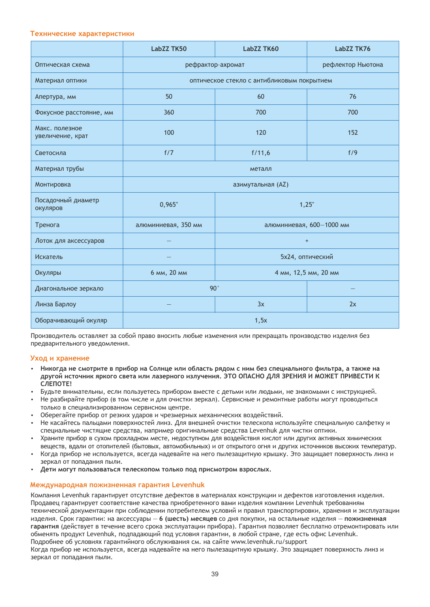### **Технические характеристики**

|                                    | <b>LabZZ TK50</b>   | LabZZ TK60                                 | LabZZ TK76           |
|------------------------------------|---------------------|--------------------------------------------|----------------------|
| Оптическая схема                   |                     | рефрактор-ахромат                          | рефлектор Ньютона    |
| Материал оптики                    |                     | оптическое стекло с антибликовым покрытием |                      |
| Апертура, мм                       | 50                  | 60                                         | 76                   |
| Фокусное расстояние, мм            | 360                 | 700                                        | 700                  |
| Макс. полезное<br>увеличение, крат | 100                 | 120                                        | 152                  |
| Светосила                          | f/7                 | f/11,6                                     | f/9                  |
| Материал трубы                     | металл              |                                            |                      |
| Монтировка                         | азимутальная (AZ)   |                                            |                      |
| Посадочный диаметр<br>окуляров     | 0,965"              | 1,25"                                      |                      |
| Тренога                            | алюминиевая, 350 мм | алюминиевая, 600-1000 мм                   |                      |
| Лоток для аксессуаров              |                     |                                            | $\ddot{}$            |
| Искатель                           |                     |                                            | 5х24, оптический     |
| Окуляры                            | 6 мм, 20 мм         |                                            | 4 мм, 12,5 мм, 20 мм |
| Диагональное зеркало               | 90°                 |                                            |                      |
| Линза Барлоу                       |                     | 3x                                         | 2x                   |
| Оборачивающий окуляр               | 1,5x                |                                            |                      |

Производитель оставляет за собой право вносить любые изменения или прекращать производство изделия без предварительного уведомления.

### **Уход и хранение**

- џ **Никогда не смотрите в прибор на Солнце или область рядом с ним без специального фильтра, а также на другой источник яркого света или лазерного излучения. ЭТО ОПАСНО ДЛЯ ЗРЕНИЯ И МОЖЕТ ПРИВЕСТИ К СЛЕПОТЕ!**
- Будьте внимательны, если пользуетесь прибором вместе с детьми или людьми, не знакомыми с инструкцией.
- Не разбирайте прибор (в том числе и для очистки зеркал). Сервисные и ремонтные работы могут проводиться только в специализированном сервисном центре.
- Оберегайте прибор от резких ударов и чрезмерных механических воздействий.
- Не касайтесь пальцами поверхностей линз. Для внешней очистки телескопа используйте специальную салфетку и специальные чистящие средства, например оригинальные средства Levenhuk для чистки оптики.
- Храните прибор в сухом прохладном месте, недоступном для воздействия кислот или других активных химических веществ, вдали от отопителей (бытовых, автомобильных) и от открытого огня и других источников высоких температур.
- Когда прибор не используется, всегда надевайте на него пылезащитную крышку. Это защищает поверхность линз и зеркал от попадания пыли.
- џ **Дети могут пользоваться телескопом только под присмотром взрослых.**

### **Международная пожизненная гарантия Levenhuk**

Компания Levenhuk гарантирует отсутствие дефектов в материалах конструкции и дефектов изготовления изделия. Продавец гарантирует соответствие качества приобретенного вами изделия компании Levenhuk требованиям технической документации при соблюдении потребителем условий и правил транспортировки, хранения и эксплуатации изделия. Срок гарантии: на аксессуары — **6 (шесть) месяцев** со дня покупки, на остальные изделия — **пожизненная гарантия** (действует в течение всего срока эксплуатации прибора). Гарантия позволяет бесплатно отремонтировать или обменять продукт Levenhuk, подпадающий под условия гарантии, в любой стране, где есть офис Levenhuk. Подробнее об условиях гарантийного обслуживания см. на сайте www.levenhuk.ru/support

Когда прибор не используется, всегда надевайте на него пылезащитную крышку. Это защищает поверхность линз и зеркал от попадания пыли.